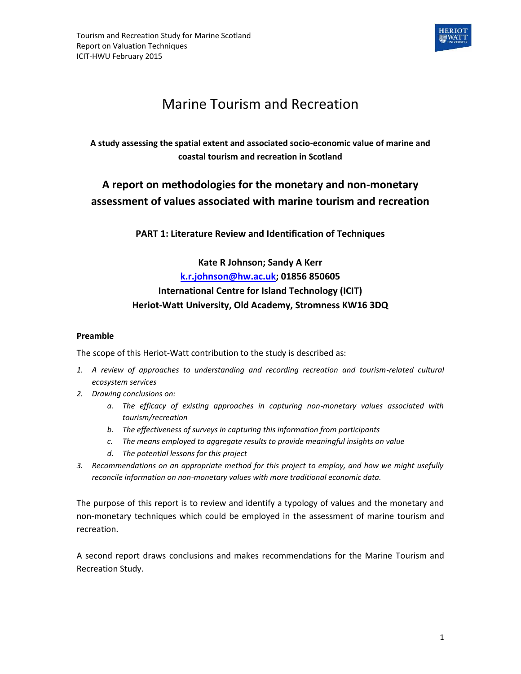

# Marine Tourism and Recreation

## **A study assessing the spatial extent and associated socio-economic value of marine and coastal tourism and recreation in Scotland**

## **A report on methodologies for the monetary and non-monetary assessment of values associated with marine tourism and recreation**

**PART 1: Literature Review and Identification of Techniques**

## **Kate R Johnson; Sandy A Kerr [k.r.johnson@hw.ac.uk;](mailto:k.r.johnson@hw.ac.uk) 01856 850605 International Centre for Island Technology (ICIT) Heriot-Watt University, Old Academy, Stromness KW16 3DQ**

#### **Preamble**

The scope of this Heriot-Watt contribution to the study is described as:

- *1. A review of approaches to understanding and recording recreation and tourism-related cultural ecosystem services*
- *2. Drawing conclusions on:*
	- *a. The efficacy of existing approaches in capturing non-monetary values associated with tourism/recreation*
	- *b. The effectiveness of surveys in capturing this information from participants*
	- *c. The means employed to aggregate results to provide meaningful insights on value*
	- *d. The potential lessons for this project*
- *3. Recommendations on an appropriate method for this project to employ, and how we might usefully reconcile information on non-monetary values with more traditional economic data.*

The purpose of this report is to review and identify a typology of values and the monetary and non-monetary techniques which could be employed in the assessment of marine tourism and recreation.

A second report draws conclusions and makes recommendations for the Marine Tourism and Recreation Study.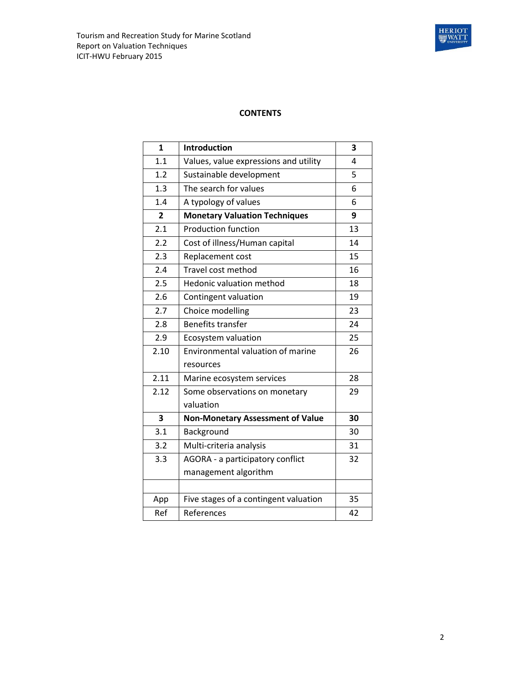

#### **CONTENTS**

| 1              | Introduction                             | 3  |
|----------------|------------------------------------------|----|
| 1.1            | Values, value expressions and utility    | 4  |
| 1.2            | Sustainable development                  | 5  |
| 1.3            | The search for values                    | 6  |
| 1.4            | A typology of values                     | 6  |
| $\overline{2}$ | <b>Monetary Valuation Techniques</b>     | 9  |
| 2.1            | <b>Production function</b>               | 13 |
| 2.2            | Cost of illness/Human capital            | 14 |
| 2.3            | Replacement cost                         | 15 |
| 2.4            | Travel cost method                       | 16 |
| 2.5            | <b>Hedonic valuation method</b>          | 18 |
| 2.6            | Contingent valuation                     | 19 |
| 2.7            | Choice modelling                         | 23 |
| 2.8            | <b>Benefits transfer</b>                 | 24 |
| 2.9            | Ecosystem valuation                      | 25 |
| 2.10           | <b>Environmental valuation of marine</b> | 26 |
|                | resources                                |    |
| 2.11           | Marine ecosystem services                | 28 |
| 2.12           | Some observations on monetary            | 29 |
|                | valuation                                |    |
| 3              | <b>Non-Monetary Assessment of Value</b>  | 30 |
| 3.1            | Background                               | 30 |
| 3.2            | Multi-criteria analysis                  | 31 |
| 3.3            | AGORA - a participatory conflict         | 32 |
|                | management algorithm                     |    |
|                |                                          |    |
| App            | Five stages of a contingent valuation    | 35 |
| Ref            | References                               | 42 |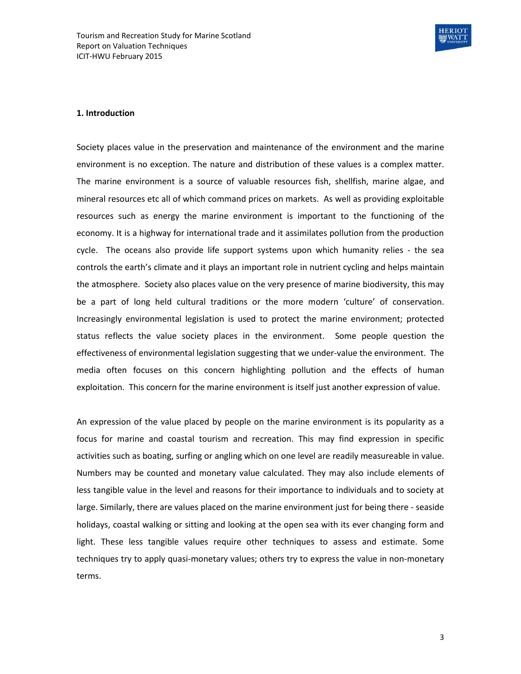

#### **1. Introduction**

Society places value in the preservation and maintenance of the environment and the marine environment is no exception. The nature and distribution of these values is a complex matter. The marine environment is a source of valuable resources fish, shellfish, marine algae, and mineral resources etc all of which command prices on markets. As well as providing exploitable resources such as energy the marine environment is important to the functioning of the economy. It is a highway for international trade and it assimilates pollution from the production cycle. The oceans also provide life support systems upon which humanity relies - the sea controls the earth's climate and it plays an important role in nutrient cycling and helps maintain the atmosphere. Society also places value on the very presence of marine biodiversity, this may be a part of long held cultural traditions or the more modern 'culture' of conservation. Increasingly environmental legislation is used to protect the marine environment; protected status reflects the value society places in the environment. Some people question the effectiveness of environmental legislation suggesting that we under-value the environment. The media often focuses on this concern highlighting pollution and the effects of human exploitation. This concern for the marine environment is itself just another expression of value.

An expression of the value placed by people on the marine environment is its popularity as a focus for marine and coastal tourism and recreation. This may find expression in specific activities such as boating, surfing or angling which on one level are readily measureable in value. Numbers may be counted and monetary value calculated. They may also include elements of less tangible value in the level and reasons for their importance to individuals and to society at large. Similarly, there are values placed on the marine environment just for being there - seaside holidays, coastal walking or sitting and looking at the open sea with its ever changing form and light. These less tangible values require other techniques to assess and estimate. Some techniques try to apply quasi-monetary values; others try to express the value in non-monetary terms.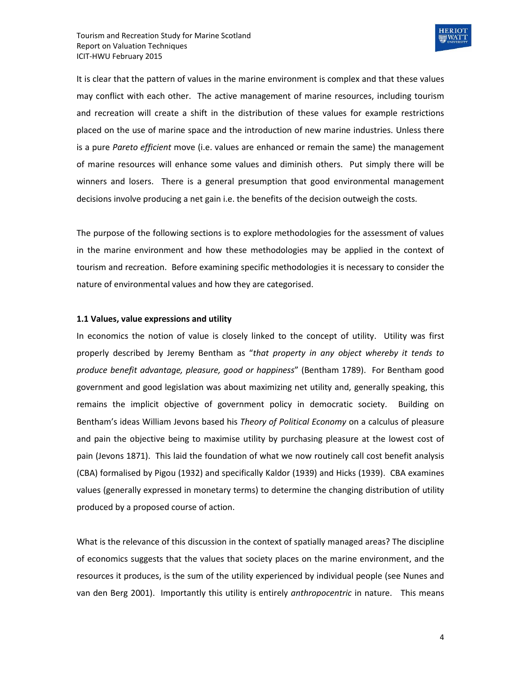

It is clear that the pattern of values in the marine environment is complex and that these values may conflict with each other. The active management of marine resources, including tourism and recreation will create a shift in the distribution of these values for example restrictions placed on the use of marine space and the introduction of new marine industries. Unless there is a pure *Pareto efficient* move (i.e. values are enhanced or remain the same) the management of marine resources will enhance some values and diminish others. Put simply there will be winners and losers. There is a general presumption that good environmental management decisions involve producing a net gain i.e. the benefits of the decision outweigh the costs.

The purpose of the following sections is to explore methodologies for the assessment of values in the marine environment and how these methodologies may be applied in the context of tourism and recreation. Before examining specific methodologies it is necessary to consider the nature of environmental values and how they are categorised.

#### **1.1 Values, value expressions and utility**

In economics the notion of value is closely linked to the concept of utility. Utility was first properly described by Jeremy Bentham as "*that property in any object whereby it tends to produce benefit advantage, pleasure, good or happiness*" (Bentham 1789). For Bentham good government and good legislation was about maximizing net utility and, generally speaking, this remains the implicit objective of government policy in democratic society. Building on Bentham's ideas William Jevons based his *Theory of Political Economy* on a calculus of pleasure and pain the objective being to maximise utility by purchasing pleasure at the lowest cost of pain (Jevons 1871). This laid the foundation of what we now routinely call cost benefit analysis (CBA) formalised by Pigou (1932) and specifically Kaldor (1939) and Hicks (1939). CBA examines values (generally expressed in monetary terms) to determine the changing distribution of utility produced by a proposed course of action.

What is the relevance of this discussion in the context of spatially managed areas? The discipline of economics suggests that the values that society places on the marine environment, and the resources it produces, is the sum of the utility experienced by individual people (see Nunes and van den Berg 2001). Importantly this utility is entirely *anthropocentric* in nature. This means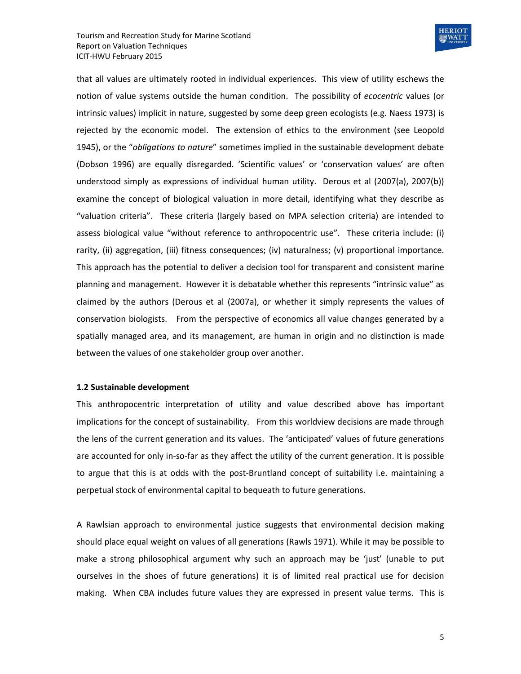

that all values are ultimately rooted in individual experiences. This view of utility eschews the notion of value systems outside the human condition. The possibility of *ecocentric* values (or intrinsic values) implicit in nature, suggested by some deep green ecologists (e.g. Naess 1973) is rejected by the economic model. The extension of ethics to the environment (see Leopold 1945), or the "*obligations to nature*" sometimes implied in the sustainable development debate (Dobson 1996) are equally disregarded. 'Scientific values' or 'conservation values' are often understood simply as expressions of individual human utility. Derous et al (2007(a), 2007(b)) examine the concept of biological valuation in more detail, identifying what they describe as "valuation criteria". These criteria (largely based on MPA selection criteria) are intended to assess biological value "without reference to anthropocentric use". These criteria include: (i) rarity, (ii) aggregation, (iii) fitness consequences; (iv) naturalness; (v) proportional importance. This approach has the potential to deliver a decision tool for transparent and consistent marine planning and management. However it is debatable whether this represents "intrinsic value" as claimed by the authors (Derous et al (2007a), or whether it simply represents the values of conservation biologists. From the perspective of economics all value changes generated by a spatially managed area, and its management, are human in origin and no distinction is made between the values of one stakeholder group over another.

#### **1.2 Sustainable development**

This anthropocentric interpretation of utility and value described above has important implications for the concept of sustainability. From this worldview decisions are made through the lens of the current generation and its values. The 'anticipated' values of future generations are accounted for only in-so-far as they affect the utility of the current generation. It is possible to argue that this is at odds with the post-Bruntland concept of suitability i.e. maintaining a perpetual stock of environmental capital to bequeath to future generations.

A Rawlsian approach to environmental justice suggests that environmental decision making should place equal weight on values of all generations (Rawls 1971). While it may be possible to make a strong philosophical argument why such an approach may be 'just' (unable to put ourselves in the shoes of future generations) it is of limited real practical use for decision making. When CBA includes future values they are expressed in present value terms. This is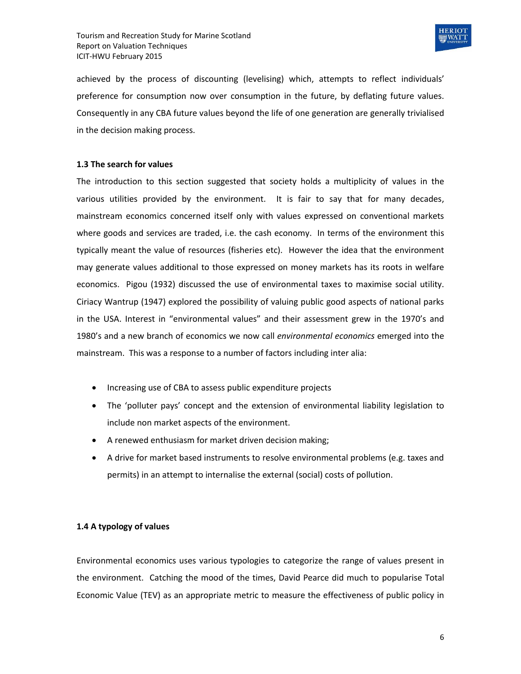

achieved by the process of discounting (levelising) which, attempts to reflect individuals' preference for consumption now over consumption in the future, by deflating future values. Consequently in any CBA future values beyond the life of one generation are generally trivialised in the decision making process.

#### **1.3 The search for values**

The introduction to this section suggested that society holds a multiplicity of values in the various utilities provided by the environment. It is fair to say that for many decades, mainstream economics concerned itself only with values expressed on conventional markets where goods and services are traded, i.e. the cash economy. In terms of the environment this typically meant the value of resources (fisheries etc). However the idea that the environment may generate values additional to those expressed on money markets has its roots in welfare economics. Pigou (1932) discussed the use of environmental taxes to maximise social utility. Ciriacy Wantrup (1947) explored the possibility of valuing public good aspects of national parks in the USA. Interest in "environmental values" and their assessment grew in the 1970's and 1980's and a new branch of economics we now call *environmental economics* emerged into the mainstream. This was a response to a number of factors including inter alia:

- Increasing use of CBA to assess public expenditure projects
- The 'polluter pays' concept and the extension of environmental liability legislation to include non market aspects of the environment.
- A renewed enthusiasm for market driven decision making;
- A drive for market based instruments to resolve environmental problems (e.g. taxes and permits) in an attempt to internalise the external (social) costs of pollution.

#### **1.4 A typology of values**

Environmental economics uses various typologies to categorize the range of values present in the environment. Catching the mood of the times, David Pearce did much to popularise Total Economic Value (TEV) as an appropriate metric to measure the effectiveness of public policy in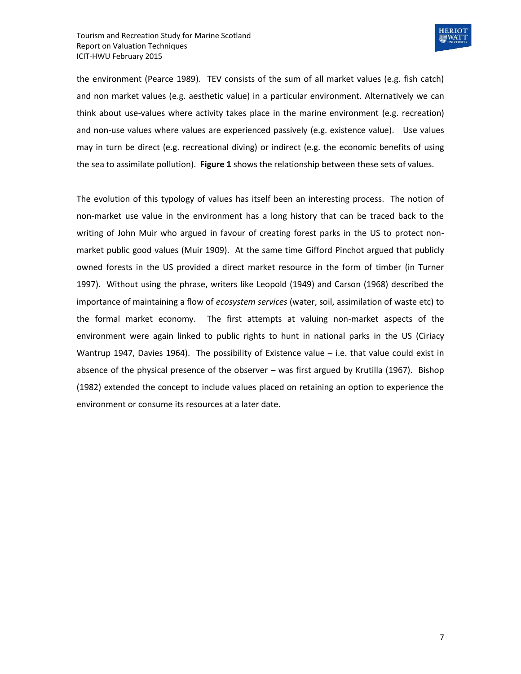

the environment (Pearce 1989). TEV consists of the sum of all market values (e.g. fish catch) and non market values (e.g. aesthetic value) in a particular environment. Alternatively we can think about use-values where activity takes place in the marine environment (e.g. recreation) and non-use values where values are experienced passively (e.g. existence value). Use values may in turn be direct (e.g. recreational diving) or indirect (e.g. the economic benefits of using the sea to assimilate pollution). **Figure 1** shows the relationship between these sets of values.

The evolution of this typology of values has itself been an interesting process. The notion of non-market use value in the environment has a long history that can be traced back to the writing of John Muir who argued in favour of creating forest parks in the US to protect nonmarket public good values (Muir 1909). At the same time Gifford Pinchot argued that publicly owned forests in the US provided a direct market resource in the form of timber (in Turner 1997). Without using the phrase, writers like Leopold (1949) and Carson (1968) described the importance of maintaining a flow of *ecosystem services* (water, soil, assimilation of waste etc) to the formal market economy. The first attempts at valuing non-market aspects of the environment were again linked to public rights to hunt in national parks in the US (Ciriacy Wantrup 1947, Davies 1964). The possibility of Existence value – i.e. that value could exist in absence of the physical presence of the observer – was first argued by Krutilla (1967). Bishop (1982) extended the concept to include values placed on retaining an option to experience the environment or consume its resources at a later date.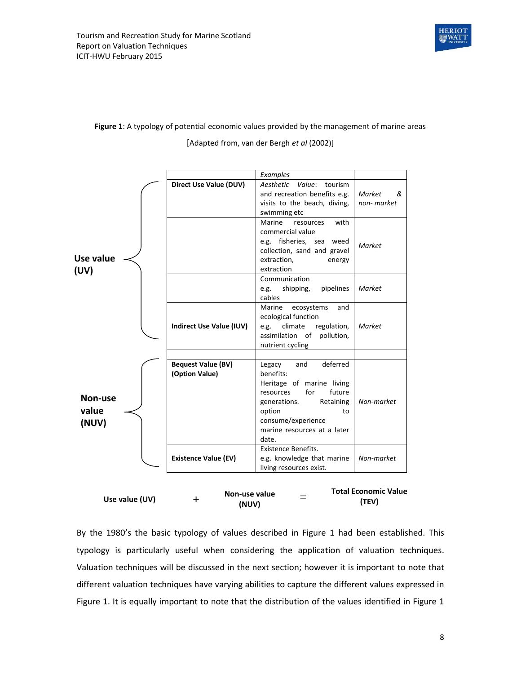

# **Figure 1**: A typology of potential economic values provided by the management of marine areas

*Examples* **Direct Use Value (DUV)** *Aesthetic Value*: tourism and recreation benefits e.g. visits to the beach, diving, swimming etc *Market & non- market* Marine resources with commercial value e.g. fisheries, sea weed collection, sand and gravel extraction, energy extraction *Market* Communication e.g. shipping, pipelines cables *Market* **Indirect Use Value (IUV)** Marine ecosystems and ecological function e.g. climate regulation, assimilation of pollution, nutrient cycling *Market* **Bequest Value (BV) (Option Value)** Legacy and deferred benefits: Heritage of marine living resources for future generations. Retaining option to consume/experience marine resources at a later date. *Non-market* **Existence Value (EV)** Existence Benefits. e.g. knowledge that marine living resources exist. *Non-market* **Use value (UV) Non-use value (NUV)** Non-use value  $=$ **Total Economic Value** 

# [Adapted from, van der Bergh *et al* (2002)]

By the 1980's the basic typology of values described in Figure 1 had been established. This typology is particularly useful when considering the application of valuation techniques. Valuation techniques will be discussed in the next section; however it is important to note that different valuation techniques have varying abilities to capture the different values expressed in Figure 1. It is equally important to note that the distribution of the values identified in Figure 1 Use value (UV)  $+$  Non-use value **(UV) (TEV)**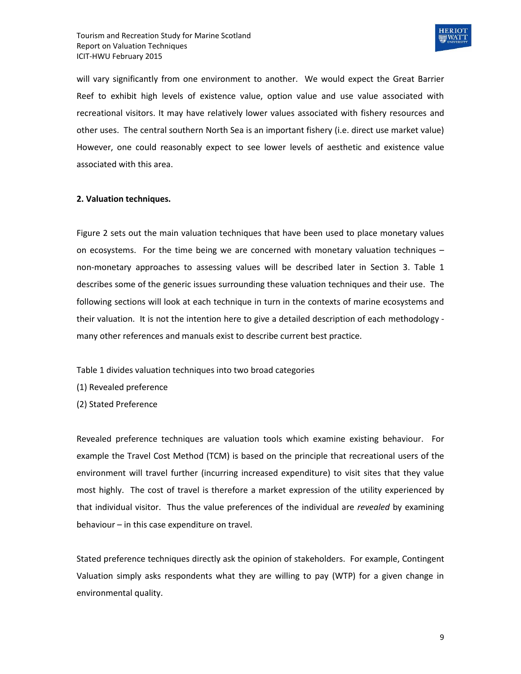

will vary significantly from one environment to another. We would expect the Great Barrier Reef to exhibit high levels of existence value, option value and use value associated with recreational visitors. It may have relatively lower values associated with fishery resources and other uses. The central southern North Sea is an important fishery (i.e. direct use market value) However, one could reasonably expect to see lower levels of aesthetic and existence value associated with this area.

#### **2. Valuation techniques.**

Figure 2 sets out the main valuation techniques that have been used to place monetary values on ecosystems. For the time being we are concerned with monetary valuation techniques – non-monetary approaches to assessing values will be described later in Section 3. Table 1 describes some of the generic issues surrounding these valuation techniques and their use. The following sections will look at each technique in turn in the contexts of marine ecosystems and their valuation. It is not the intention here to give a detailed description of each methodology many other references and manuals exist to describe current best practice.

Table 1 divides valuation techniques into two broad categories

(1) Revealed preference

(2) Stated Preference

Revealed preference techniques are valuation tools which examine existing behaviour. For example the Travel Cost Method (TCM) is based on the principle that recreational users of the environment will travel further (incurring increased expenditure) to visit sites that they value most highly. The cost of travel is therefore a market expression of the utility experienced by that individual visitor. Thus the value preferences of the individual are *revealed* by examining behaviour – in this case expenditure on travel.

Stated preference techniques directly ask the opinion of stakeholders. For example, Contingent Valuation simply asks respondents what they are willing to pay (WTP) for a given change in environmental quality.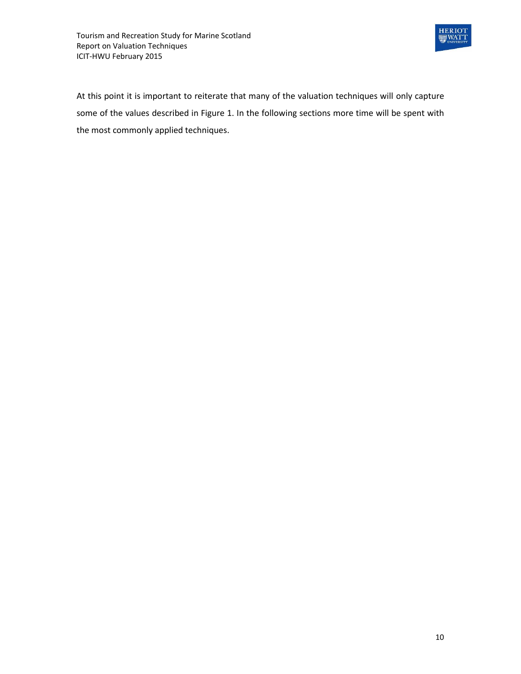

At this point it is important to reiterate that many of the valuation techniques will only capture some of the values described in Figure 1. In the following sections more time will be spent with the most commonly applied techniques.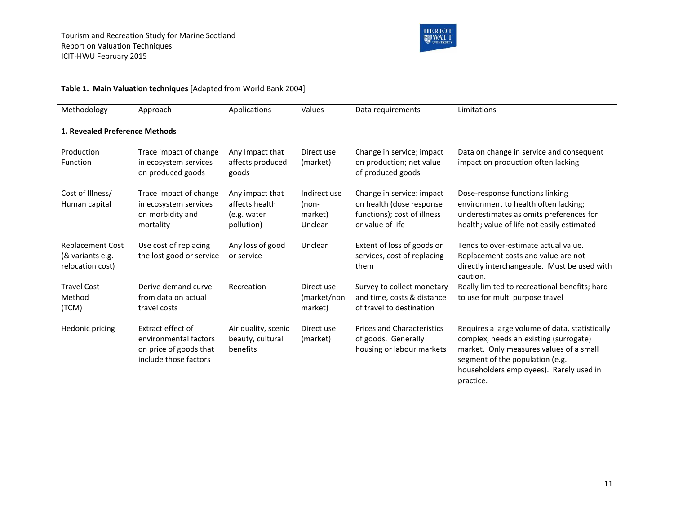

#### **Table 1. Main Valuation techniques** [Adapted from World Bank 2004]

| Methodology                                                     | Approach                                                                                      | Applications                                                   | Values                                        | Data requirements                                                                                        | Limitations                                                                                                                                                                                                                    |  |  |  |  |
|-----------------------------------------------------------------|-----------------------------------------------------------------------------------------------|----------------------------------------------------------------|-----------------------------------------------|----------------------------------------------------------------------------------------------------------|--------------------------------------------------------------------------------------------------------------------------------------------------------------------------------------------------------------------------------|--|--|--|--|
| 1. Revealed Preference Methods                                  |                                                                                               |                                                                |                                               |                                                                                                          |                                                                                                                                                                                                                                |  |  |  |  |
| Production<br>Function                                          | Trace impact of change<br>in ecosystem services<br>on produced goods                          | Any Impact that<br>affects produced<br>goods                   | Direct use<br>(market)                        | Change in service; impact<br>on production; net value<br>of produced goods                               | Data on change in service and consequent<br>impact on production often lacking                                                                                                                                                 |  |  |  |  |
| Cost of Illness/<br>Human capital                               | Trace impact of change<br>in ecosystem services<br>on morbidity and<br>mortality              | Any impact that<br>affects health<br>(e.g. water<br>pollution) | Indirect use<br>$(non-$<br>market)<br>Unclear | Change in service: impact<br>on health (dose response<br>functions); cost of illness<br>or value of life | Dose-response functions linking<br>environment to health often lacking;<br>underestimates as omits preferences for<br>health; value of life not easily estimated                                                               |  |  |  |  |
| <b>Replacement Cost</b><br>(& variants e.g.<br>relocation cost) | Use cost of replacing<br>the lost good or service                                             | Any loss of good<br>or service                                 | Unclear                                       | Extent of loss of goods or<br>services, cost of replacing<br>them                                        | Tends to over-estimate actual value.<br>Replacement costs and value are not<br>directly interchangeable. Must be used with<br>caution.                                                                                         |  |  |  |  |
| <b>Travel Cost</b><br>Method<br>(TCM)                           | Derive demand curve<br>from data on actual<br>travel costs                                    | Recreation                                                     | Direct use<br>(market/non<br>market)          | Survey to collect monetary<br>and time, costs & distance<br>of travel to destination                     | Really limited to recreational benefits; hard<br>to use for multi purpose travel                                                                                                                                               |  |  |  |  |
| Hedonic pricing                                                 | Extract effect of<br>environmental factors<br>on price of goods that<br>include those factors | Air quality, scenic<br>beauty, cultural<br>benefits            | Direct use<br>(market)                        | <b>Prices and Characteristics</b><br>of goods. Generally<br>housing or labour markets                    | Requires a large volume of data, statistically<br>complex, needs an existing (surrogate)<br>market. Only measures values of a small<br>segment of the population (e.g.<br>householders employees). Rarely used in<br>practice. |  |  |  |  |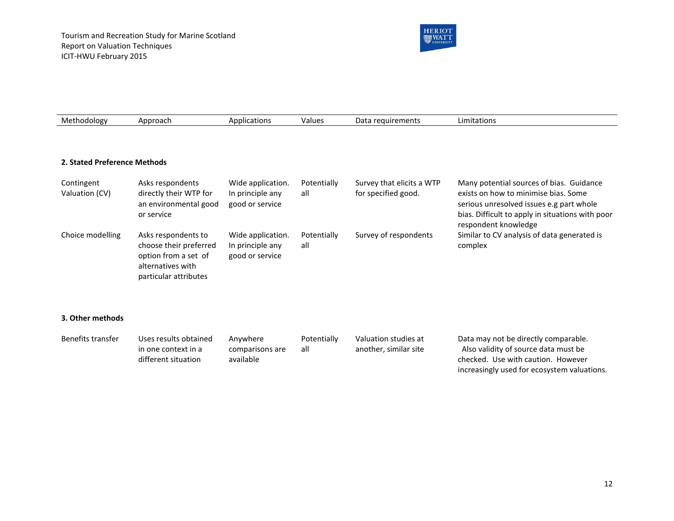

| Methodology                  | Approach                                                                                                            | Applications                                             | Values             | Data requirements                                | Limitations                                                                                                                                                                                              |  |
|------------------------------|---------------------------------------------------------------------------------------------------------------------|----------------------------------------------------------|--------------------|--------------------------------------------------|----------------------------------------------------------------------------------------------------------------------------------------------------------------------------------------------------------|--|
|                              |                                                                                                                     |                                                          |                    |                                                  |                                                                                                                                                                                                          |  |
| 2. Stated Preference Methods |                                                                                                                     |                                                          |                    |                                                  |                                                                                                                                                                                                          |  |
| Contingent<br>Valuation (CV) | Asks respondents<br>directly their WTP for<br>an environmental good<br>or service                                   | Wide application.<br>In principle any<br>good or service | Potentially<br>all | Survey that elicits a WTP<br>for specified good. | Many potential sources of bias. Guidance<br>exists on how to minimise bias. Some<br>serious unresolved issues e.g part whole<br>bias. Difficult to apply in situations with poor<br>respondent knowledge |  |
| Choice modelling             | Asks respondents to<br>choose their preferred<br>option from a set of<br>alternatives with<br>particular attributes | Wide application.<br>In principle any<br>good or service | Potentially<br>all | Survey of respondents                            | Similar to CV analysis of data generated is<br>complex                                                                                                                                                   |  |

#### **3. Other methods**

| Benefits transfer | Uses results obtained | Anvwhere        | Potentially | Valuation studies at  | Data may not be directly comparable.        |
|-------------------|-----------------------|-----------------|-------------|-----------------------|---------------------------------------------|
|                   | in one context in a   | comparisons are | all         | another, similar site | Also validity of source data must be        |
|                   | different situation   | available       |             |                       | checked. Use with caution. However          |
|                   |                       |                 |             |                       | increasingly used for ecosystem valuations. |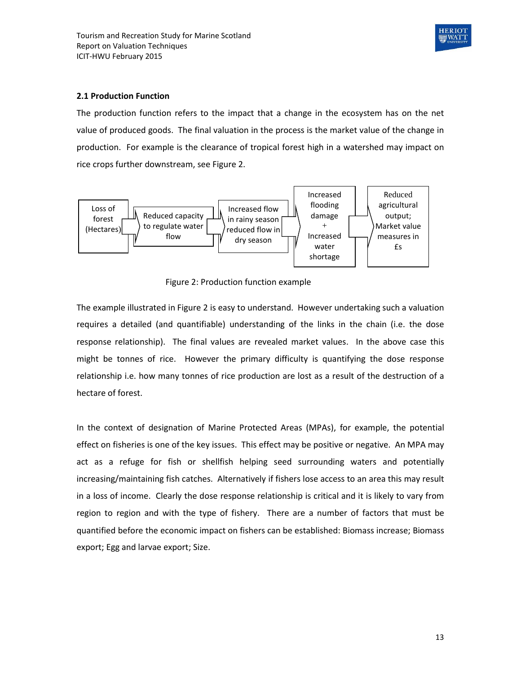

#### **2.1 Production Function**

The production function refers to the impact that a change in the ecosystem has on the net value of produced goods. The final valuation in the process is the market value of the change in production. For example is the clearance of tropical forest high in a watershed may impact on rice crops further downstream, see Figure 2.



Figure 2: Production function example

The example illustrated in Figure 2 is easy to understand. However undertaking such a valuation requires a detailed (and quantifiable) understanding of the links in the chain (i.e. the dose response relationship). The final values are revealed market values. In the above case this might be tonnes of rice. However the primary difficulty is quantifying the dose response relationship i.e. how many tonnes of rice production are lost as a result of the destruction of a hectare of forest.

In the context of designation of Marine Protected Areas (MPAs), for example, the potential effect on fisheries is one of the key issues. This effect may be positive or negative. An MPA may act as a refuge for fish or shellfish helping seed surrounding waters and potentially increasing/maintaining fish catches. Alternatively if fishers lose access to an area this may result in a loss of income. Clearly the dose response relationship is critical and it is likely to vary from region to region and with the type of fishery. There are a number of factors that must be quantified before the economic impact on fishers can be established: Biomass increase; Biomass export; Egg and larvae export; Size.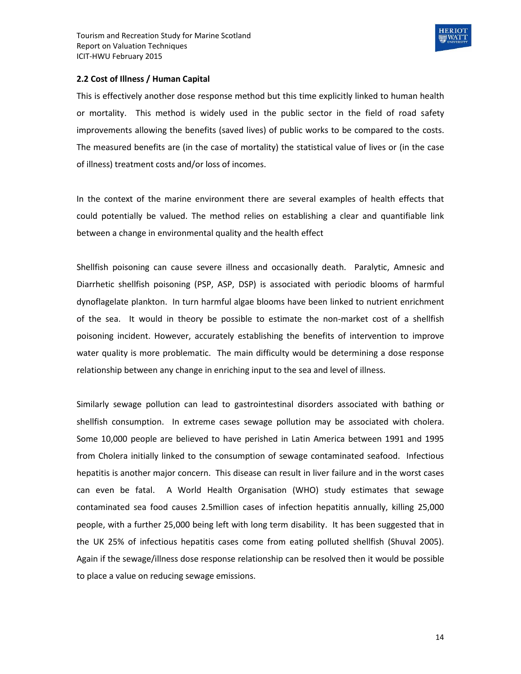

#### **2.2 Cost of Illness / Human Capital**

This is effectively another dose response method but this time explicitly linked to human health or mortality. This method is widely used in the public sector in the field of road safety improvements allowing the benefits (saved lives) of public works to be compared to the costs. The measured benefits are (in the case of mortality) the statistical value of lives or (in the case of illness) treatment costs and/or loss of incomes.

In the context of the marine environment there are several examples of health effects that could potentially be valued. The method relies on establishing a clear and quantifiable link between a change in environmental quality and the health effect

Shellfish poisoning can cause severe illness and occasionally death. Paralytic, Amnesic and Diarrhetic shellfish poisoning (PSP, ASP, DSP) is associated with periodic blooms of harmful dynoflagelate plankton. In turn harmful algae blooms have been linked to nutrient enrichment of the sea. It would in theory be possible to estimate the non-market cost of a shellfish poisoning incident. However, accurately establishing the benefits of intervention to improve water quality is more problematic. The main difficulty would be determining a dose response relationship between any change in enriching input to the sea and level of illness.

Similarly sewage pollution can lead to gastrointestinal disorders associated with bathing or shellfish consumption. In extreme cases sewage pollution may be associated with cholera. Some 10,000 people are believed to have perished in Latin America between 1991 and 1995 from Cholera initially linked to the consumption of sewage contaminated seafood. Infectious hepatitis is another major concern. This disease can result in liver failure and in the worst cases can even be fatal. A World Health Organisation (WHO) study estimates that sewage contaminated sea food causes 2.5million cases of infection hepatitis annually, killing 25,000 people, with a further 25,000 being left with long term disability. It has been suggested that in the UK 25% of infectious hepatitis cases come from eating polluted shellfish (Shuval 2005). Again if the sewage/illness dose response relationship can be resolved then it would be possible to place a value on reducing sewage emissions.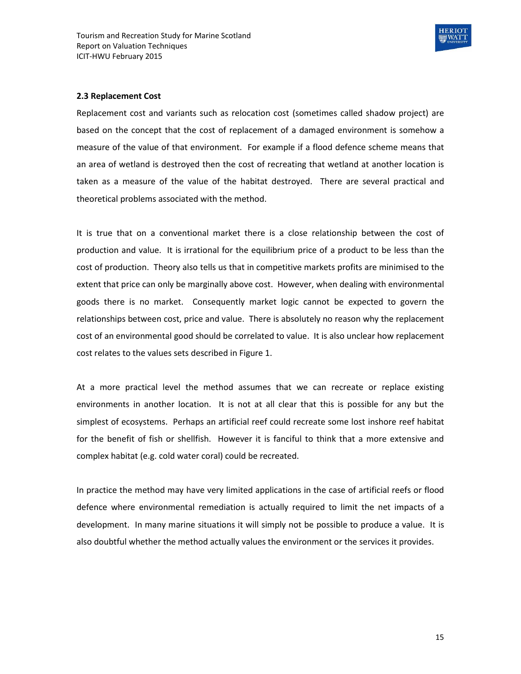

#### **2.3 Replacement Cost**

Replacement cost and variants such as relocation cost (sometimes called shadow project) are based on the concept that the cost of replacement of a damaged environment is somehow a measure of the value of that environment. For example if a flood defence scheme means that an area of wetland is destroyed then the cost of recreating that wetland at another location is taken as a measure of the value of the habitat destroyed. There are several practical and theoretical problems associated with the method.

It is true that on a conventional market there is a close relationship between the cost of production and value. It is irrational for the equilibrium price of a product to be less than the cost of production. Theory also tells us that in competitive markets profits are minimised to the extent that price can only be marginally above cost. However, when dealing with environmental goods there is no market. Consequently market logic cannot be expected to govern the relationships between cost, price and value. There is absolutely no reason why the replacement cost of an environmental good should be correlated to value. It is also unclear how replacement cost relates to the values sets described in Figure 1.

At a more practical level the method assumes that we can recreate or replace existing environments in another location. It is not at all clear that this is possible for any but the simplest of ecosystems. Perhaps an artificial reef could recreate some lost inshore reef habitat for the benefit of fish or shellfish. However it is fanciful to think that a more extensive and complex habitat (e.g. cold water coral) could be recreated.

In practice the method may have very limited applications in the case of artificial reefs or flood defence where environmental remediation is actually required to limit the net impacts of a development. In many marine situations it will simply not be possible to produce a value. It is also doubtful whether the method actually values the environment or the services it provides.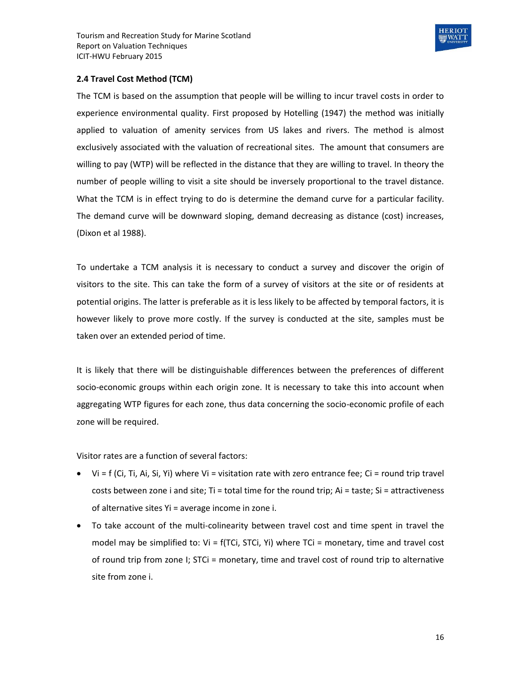

#### **2.4 Travel Cost Method (TCM)**

The TCM is based on the assumption that people will be willing to incur travel costs in order to experience environmental quality. First proposed by Hotelling (1947) the method was initially applied to valuation of amenity services from US lakes and rivers. The method is almost exclusively associated with the valuation of recreational sites. The amount that consumers are willing to pay (WTP) will be reflected in the distance that they are willing to travel. In theory the number of people willing to visit a site should be inversely proportional to the travel distance. What the TCM is in effect trying to do is determine the demand curve for a particular facility. The demand curve will be downward sloping, demand decreasing as distance (cost) increases, (Dixon et al 1988).

To undertake a TCM analysis it is necessary to conduct a survey and discover the origin of visitors to the site. This can take the form of a survey of visitors at the site or of residents at potential origins. The latter is preferable as it is less likely to be affected by temporal factors, it is however likely to prove more costly. If the survey is conducted at the site, samples must be taken over an extended period of time.

It is likely that there will be distinguishable differences between the preferences of different socio-economic groups within each origin zone. It is necessary to take this into account when aggregating WTP figures for each zone, thus data concerning the socio-economic profile of each zone will be required.

Visitor rates are a function of several factors:

- $\bullet$  Vi = f (Ci, Ti, Ai, Si, Yi) where Vi = visitation rate with zero entrance fee; Ci = round trip travel costs between zone i and site; Ti = total time for the round trip; Ai = taste; Si = attractiveness of alternative sites Yi = average income in zone i.
- To take account of the multi-colinearity between travel cost and time spent in travel the model may be simplified to:  $Vi = f(TCi, STCi, Yi)$  where  $TCi = monetary$ , time and travel cost of round trip from zone I; STCi = monetary, time and travel cost of round trip to alternative site from zone i.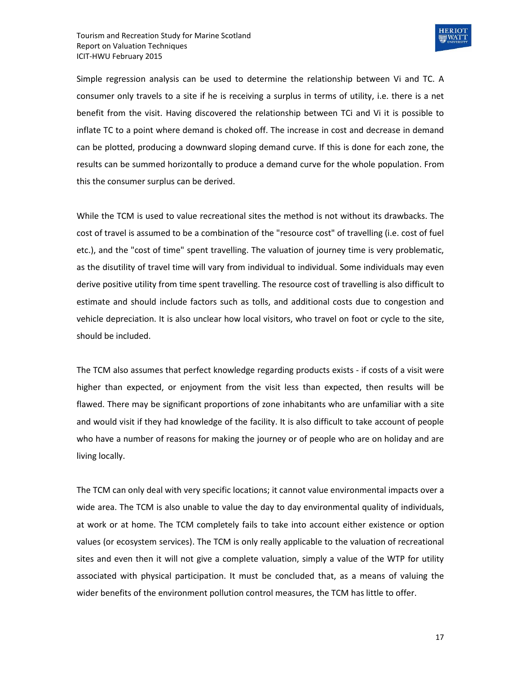

Simple regression analysis can be used to determine the relationship between Vi and TC. A consumer only travels to a site if he is receiving a surplus in terms of utility, i.e. there is a net benefit from the visit. Having discovered the relationship between TCi and Vi it is possible to inflate TC to a point where demand is choked off. The increase in cost and decrease in demand can be plotted, producing a downward sloping demand curve. If this is done for each zone, the results can be summed horizontally to produce a demand curve for the whole population. From this the consumer surplus can be derived.

While the TCM is used to value recreational sites the method is not without its drawbacks. The cost of travel is assumed to be a combination of the "resource cost" of travelling (i.e. cost of fuel etc.), and the "cost of time" spent travelling. The valuation of journey time is very problematic, as the disutility of travel time will vary from individual to individual. Some individuals may even derive positive utility from time spent travelling. The resource cost of travelling is also difficult to estimate and should include factors such as tolls, and additional costs due to congestion and vehicle depreciation. It is also unclear how local visitors, who travel on foot or cycle to the site, should be included.

The TCM also assumes that perfect knowledge regarding products exists - if costs of a visit were higher than expected, or enjoyment from the visit less than expected, then results will be flawed. There may be significant proportions of zone inhabitants who are unfamiliar with a site and would visit if they had knowledge of the facility. It is also difficult to take account of people who have a number of reasons for making the journey or of people who are on holiday and are living locally.

The TCM can only deal with very specific locations; it cannot value environmental impacts over a wide area. The TCM is also unable to value the day to day environmental quality of individuals, at work or at home. The TCM completely fails to take into account either existence or option values (or ecosystem services). The TCM is only really applicable to the valuation of recreational sites and even then it will not give a complete valuation, simply a value of the WTP for utility associated with physical participation. It must be concluded that, as a means of valuing the wider benefits of the environment pollution control measures, the TCM has little to offer.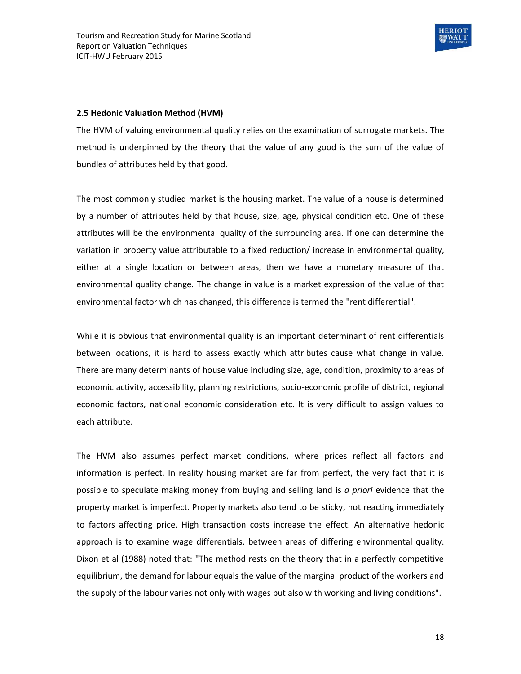

#### **2.5 Hedonic Valuation Method (HVM)**

The HVM of valuing environmental quality relies on the examination of surrogate markets. The method is underpinned by the theory that the value of any good is the sum of the value of bundles of attributes held by that good.

The most commonly studied market is the housing market. The value of a house is determined by a number of attributes held by that house, size, age, physical condition etc. One of these attributes will be the environmental quality of the surrounding area. If one can determine the variation in property value attributable to a fixed reduction/ increase in environmental quality, either at a single location or between areas, then we have a monetary measure of that environmental quality change. The change in value is a market expression of the value of that environmental factor which has changed, this difference is termed the "rent differential".

While it is obvious that environmental quality is an important determinant of rent differentials between locations, it is hard to assess exactly which attributes cause what change in value. There are many determinants of house value including size, age, condition, proximity to areas of economic activity, accessibility, planning restrictions, socio-economic profile of district, regional economic factors, national economic consideration etc. It is very difficult to assign values to each attribute.

The HVM also assumes perfect market conditions, where prices reflect all factors and information is perfect. In reality housing market are far from perfect, the very fact that it is possible to speculate making money from buying and selling land is *a priori* evidence that the property market is imperfect. Property markets also tend to be sticky, not reacting immediately to factors affecting price. High transaction costs increase the effect. An alternative hedonic approach is to examine wage differentials, between areas of differing environmental quality. Dixon et al (1988) noted that: "The method rests on the theory that in a perfectly competitive equilibrium, the demand for labour equals the value of the marginal product of the workers and the supply of the labour varies not only with wages but also with working and living conditions".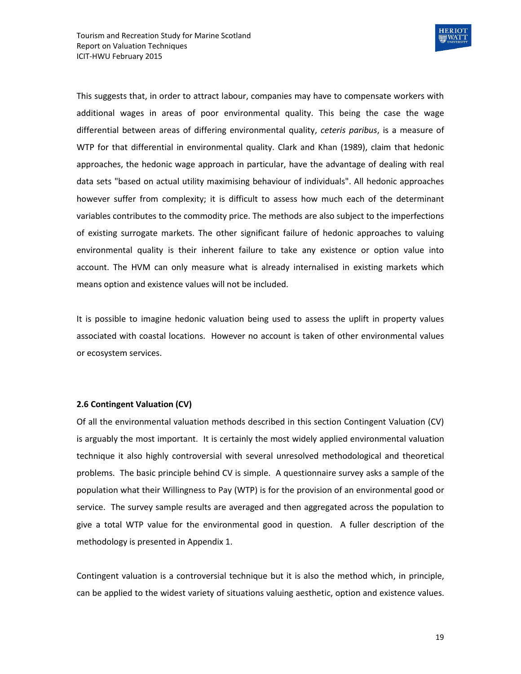

This suggests that, in order to attract labour, companies may have to compensate workers with additional wages in areas of poor environmental quality. This being the case the wage differential between areas of differing environmental quality, *ceteris paribus*, is a measure of WTP for that differential in environmental quality. Clark and Khan (1989), claim that hedonic approaches, the hedonic wage approach in particular, have the advantage of dealing with real data sets "based on actual utility maximising behaviour of individuals". All hedonic approaches however suffer from complexity; it is difficult to assess how much each of the determinant variables contributes to the commodity price. The methods are also subject to the imperfections of existing surrogate markets. The other significant failure of hedonic approaches to valuing environmental quality is their inherent failure to take any existence or option value into account. The HVM can only measure what is already internalised in existing markets which means option and existence values will not be included.

It is possible to imagine hedonic valuation being used to assess the uplift in property values associated with coastal locations. However no account is taken of other environmental values or ecosystem services.

#### **2.6 Contingent Valuation (CV)**

Of all the environmental valuation methods described in this section Contingent Valuation (CV) is arguably the most important. It is certainly the most widely applied environmental valuation technique it also highly controversial with several unresolved methodological and theoretical problems. The basic principle behind CV is simple. A questionnaire survey asks a sample of the population what their Willingness to Pay (WTP) is for the provision of an environmental good or service. The survey sample results are averaged and then aggregated across the population to give a total WTP value for the environmental good in question. A fuller description of the methodology is presented in Appendix 1.

Contingent valuation is a controversial technique but it is also the method which, in principle, can be applied to the widest variety of situations valuing aesthetic, option and existence values.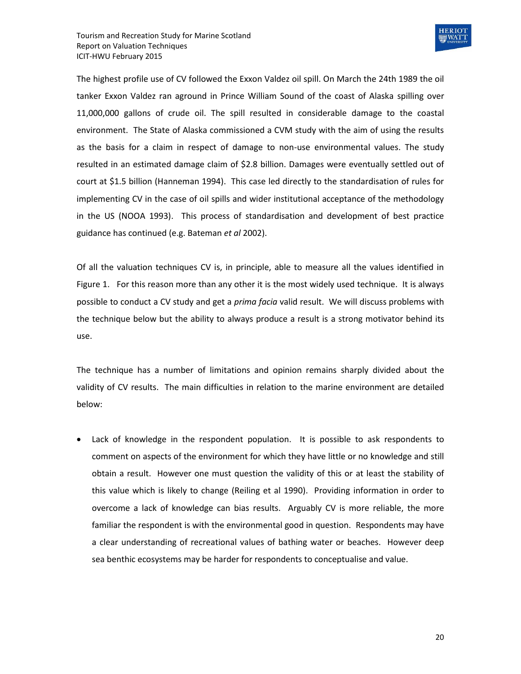

The highest profile use of CV followed the Exxon Valdez oil spill. On March the 24th 1989 the oil tanker Exxon Valdez ran aground in Prince William Sound of the coast of Alaska spilling over 11,000,000 gallons of crude oil. The spill resulted in considerable damage to the coastal environment. The State of Alaska commissioned a CVM study with the aim of using the results as the basis for a claim in respect of damage to non-use environmental values. The study resulted in an estimated damage claim of \$2.8 billion. Damages were eventually settled out of court at \$1.5 billion (Hanneman 1994). This case led directly to the standardisation of rules for implementing CV in the case of oil spills and wider institutional acceptance of the methodology in the US (NOOA 1993). This process of standardisation and development of best practice guidance has continued (e.g. Bateman *et al* 2002).

Of all the valuation techniques CV is, in principle, able to measure all the values identified in Figure 1. For this reason more than any other it is the most widely used technique. It is always possible to conduct a CV study and get a *prima facia* valid result. We will discuss problems with the technique below but the ability to always produce a result is a strong motivator behind its use.

The technique has a number of limitations and opinion remains sharply divided about the validity of CV results. The main difficulties in relation to the marine environment are detailed below:

 Lack of knowledge in the respondent population. It is possible to ask respondents to comment on aspects of the environment for which they have little or no knowledge and still obtain a result. However one must question the validity of this or at least the stability of this value which is likely to change (Reiling et al 1990). Providing information in order to overcome a lack of knowledge can bias results. Arguably CV is more reliable, the more familiar the respondent is with the environmental good in question. Respondents may have a clear understanding of recreational values of bathing water or beaches. However deep sea benthic ecosystems may be harder for respondents to conceptualise and value.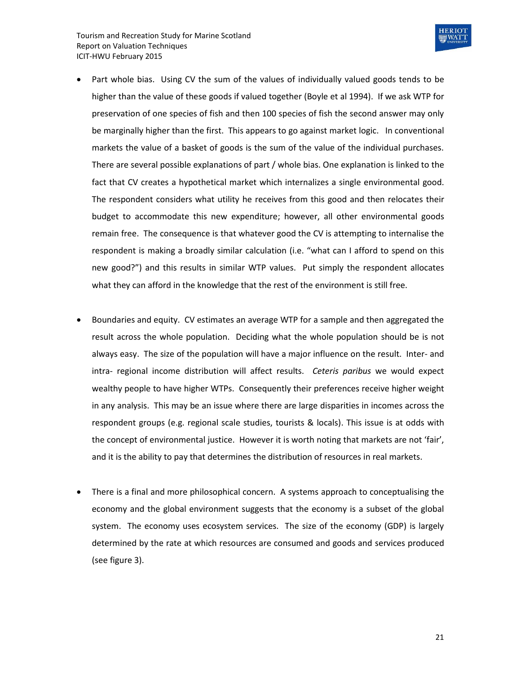

- Part whole bias. Using CV the sum of the values of individually valued goods tends to be higher than the value of these goods if valued together (Boyle et al 1994). If we ask WTP for preservation of one species of fish and then 100 species of fish the second answer may only be marginally higher than the first. This appears to go against market logic. In conventional markets the value of a basket of goods is the sum of the value of the individual purchases. There are several possible explanations of part / whole bias. One explanation is linked to the fact that CV creates a hypothetical market which internalizes a single environmental good. The respondent considers what utility he receives from this good and then relocates their budget to accommodate this new expenditure; however, all other environmental goods remain free. The consequence is that whatever good the CV is attempting to internalise the respondent is making a broadly similar calculation (i.e. "what can I afford to spend on this new good?") and this results in similar WTP values. Put simply the respondent allocates what they can afford in the knowledge that the rest of the environment is still free.
- Boundaries and equity. CV estimates an average WTP for a sample and then aggregated the result across the whole population. Deciding what the whole population should be is not always easy. The size of the population will have a major influence on the result. Inter- and intra- regional income distribution will affect results. *Ceteris paribus* we would expect wealthy people to have higher WTPs. Consequently their preferences receive higher weight in any analysis. This may be an issue where there are large disparities in incomes across the respondent groups (e.g. regional scale studies, tourists & locals). This issue is at odds with the concept of environmental justice. However it is worth noting that markets are not 'fair', and it is the ability to pay that determines the distribution of resources in real markets.
- There is a final and more philosophical concern. A systems approach to conceptualising the economy and the global environment suggests that the economy is a subset of the global system. The economy uses ecosystem services. The size of the economy (GDP) is largely determined by the rate at which resources are consumed and goods and services produced (see figure 3).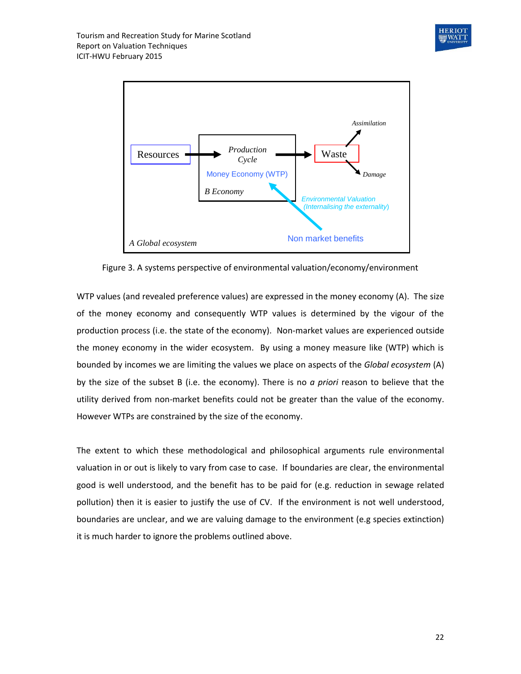



Figure 3. A systems perspective of environmental valuation/economy/environment

WTP values (and revealed preference values) are expressed in the money economy (A). The size of the money economy and consequently WTP values is determined by the vigour of the production process (i.e. the state of the economy). Non-market values are experienced outside the money economy in the wider ecosystem. By using a money measure like (WTP) which is bounded by incomes we are limiting the values we place on aspects of the *Global ecosystem* (A) by the size of the subset B (i.e. the economy). There is no *a priori* reason to believe that the utility derived from non-market benefits could not be greater than the value of the economy. However WTPs are constrained by the size of the economy.

The extent to which these methodological and philosophical arguments rule environmental valuation in or out is likely to vary from case to case. If boundaries are clear, the environmental good is well understood, and the benefit has to be paid for (e.g. reduction in sewage related pollution) then it is easier to justify the use of CV. If the environment is not well understood, boundaries are unclear, and we are valuing damage to the environment (e.g species extinction) it is much harder to ignore the problems outlined above.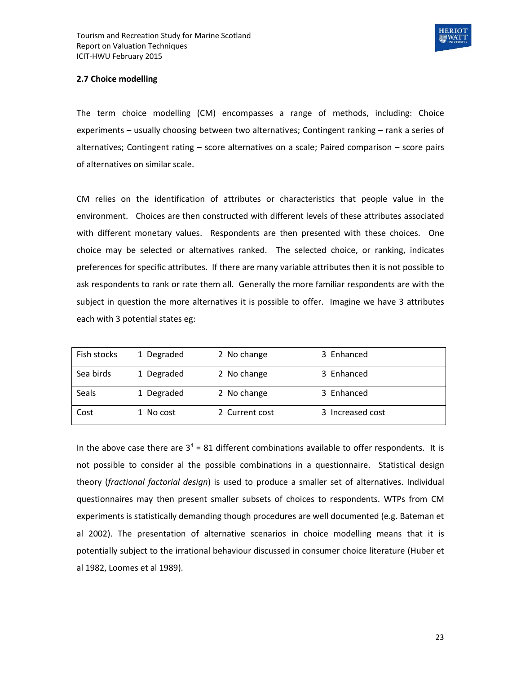

#### **2.7 Choice modelling**

The term choice modelling (CM) encompasses a range of methods, including: Choice experiments – usually choosing between two alternatives; Contingent ranking – rank a series of alternatives; Contingent rating – score alternatives on a scale; Paired comparison – score pairs of alternatives on similar scale.

CM relies on the identification of attributes or characteristics that people value in the environment. Choices are then constructed with different levels of these attributes associated with different monetary values. Respondents are then presented with these choices. One choice may be selected or alternatives ranked. The selected choice, or ranking, indicates preferences for specific attributes. If there are many variable attributes then it is not possible to ask respondents to rank or rate them all. Generally the more familiar respondents are with the subject in question the more alternatives it is possible to offer. Imagine we have 3 attributes each with 3 potential states eg:

| Fish stocks | 1 Degraded | 2 No change    | 3 Enhanced       |
|-------------|------------|----------------|------------------|
| Sea birds   | 1 Degraded | 2 No change    | 3 Enhanced       |
| Seals       | 1 Degraded | 2 No change    | 3 Enhanced       |
| Cost        | 1 No cost  | 2 Current cost | 3 Increased cost |

In the above case there are  $3<sup>4</sup> = 81$  different combinations available to offer respondents. It is not possible to consider al the possible combinations in a questionnaire. Statistical design theory (*fractional factorial design*) is used to produce a smaller set of alternatives. Individual questionnaires may then present smaller subsets of choices to respondents. WTPs from CM experiments is statistically demanding though procedures are well documented (e.g. Bateman et al 2002). The presentation of alternative scenarios in choice modelling means that it is potentially subject to the irrational behaviour discussed in consumer choice literature (Huber et al 1982, Loomes et al 1989).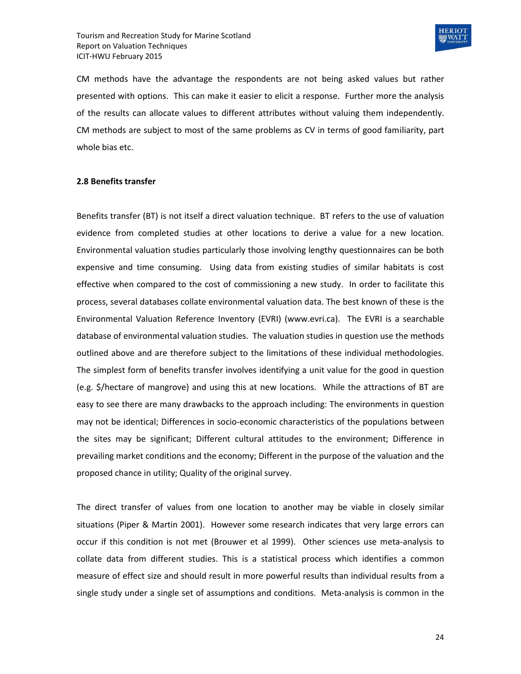

CM methods have the advantage the respondents are not being asked values but rather presented with options. This can make it easier to elicit a response. Further more the analysis of the results can allocate values to different attributes without valuing them independently. CM methods are subject to most of the same problems as CV in terms of good familiarity, part whole bias etc.

#### **2.8 Benefits transfer**

Benefits transfer (BT) is not itself a direct valuation technique. BT refers to the use of valuation evidence from completed studies at other locations to derive a value for a new location. Environmental valuation studies particularly those involving lengthy questionnaires can be both expensive and time consuming. Using data from existing studies of similar habitats is cost effective when compared to the cost of commissioning a new study. In order to facilitate this process, several databases collate environmental valuation data. The best known of these is the Environmental Valuation Reference Inventory (EVRI) [\(www.evri.ca\)](http://www.evri.ca/). The EVRI is a searchable database of environmental valuation studies. The valuation studies in question use the methods outlined above and are therefore subject to the limitations of these individual methodologies. The simplest form of benefits transfer involves identifying a unit value for the good in question (e.g. \$/hectare of mangrove) and using this at new locations. While the attractions of BT are easy to see there are many drawbacks to the approach including: The environments in question may not be identical; Differences in socio-economic characteristics of the populations between the sites may be significant; Different cultural attitudes to the environment; Difference in prevailing market conditions and the economy; Different in the purpose of the valuation and the proposed chance in utility; Quality of the original survey.

The direct transfer of values from one location to another may be viable in closely similar situations (Piper & Martin 2001). However some research indicates that very large errors can occur if this condition is not met (Brouwer et al 1999). Other sciences use meta-analysis to collate data from different studies. This is a statistical process which identifies a common measure of effect size and should result in more powerful results than individual results from a single study under a single set of assumptions and conditions. Meta-analysis is common in the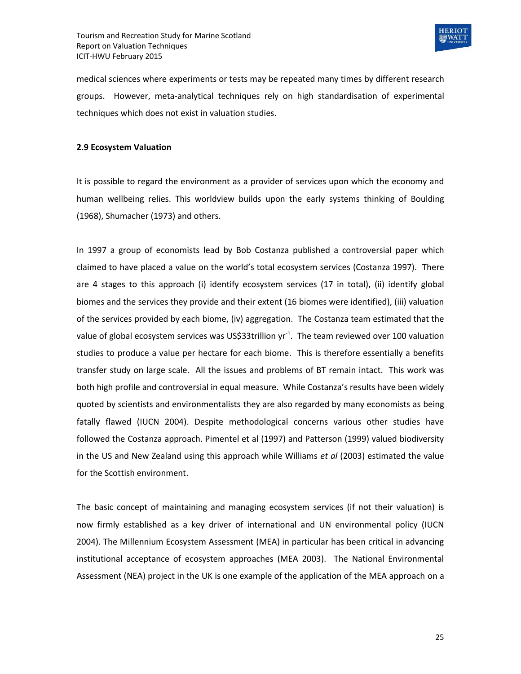

medical sciences where experiments or tests may be repeated many times by different research groups. However, meta-analytical techniques rely on high standardisation of experimental techniques which does not exist in valuation studies.

#### **2.9 Ecosystem Valuation**

It is possible to regard the environment as a provider of services upon which the economy and human wellbeing relies. This worldview builds upon the early systems thinking of Boulding (1968), Shumacher (1973) and others.

In 1997 a group of economists lead by Bob Costanza published a controversial paper which claimed to have placed a value on the world's total ecosystem services (Costanza 1997). There are 4 stages to this approach (i) identify ecosystem services (17 in total), (ii) identify global biomes and the services they provide and their extent (16 biomes were identified), (iii) valuation of the services provided by each biome, (iv) aggregation. The Costanza team estimated that the value of global ecosystem services was US\$33trillion yr<sup>-1</sup>. The team reviewed over 100 valuation studies to produce a value per hectare for each biome. This is therefore essentially a benefits transfer study on large scale. All the issues and problems of BT remain intact. This work was both high profile and controversial in equal measure. While Costanza's results have been widely quoted by scientists and environmentalists they are also regarded by many economists as being fatally flawed (IUCN 2004). Despite methodological concerns various other studies have followed the Costanza approach. Pimentel et al (1997) and Patterson (1999) valued biodiversity in the US and New Zealand using this approach while Williams *et al* (2003) estimated the value for the Scottish environment.

The basic concept of maintaining and managing ecosystem services (if not their valuation) is now firmly established as a key driver of international and UN environmental policy (IUCN 2004). The Millennium Ecosystem Assessment (MEA) in particular has been critical in advancing institutional acceptance of ecosystem approaches (MEA 2003). The National Environmental Assessment (NEA) project in the UK is one example of the application of the MEA approach on a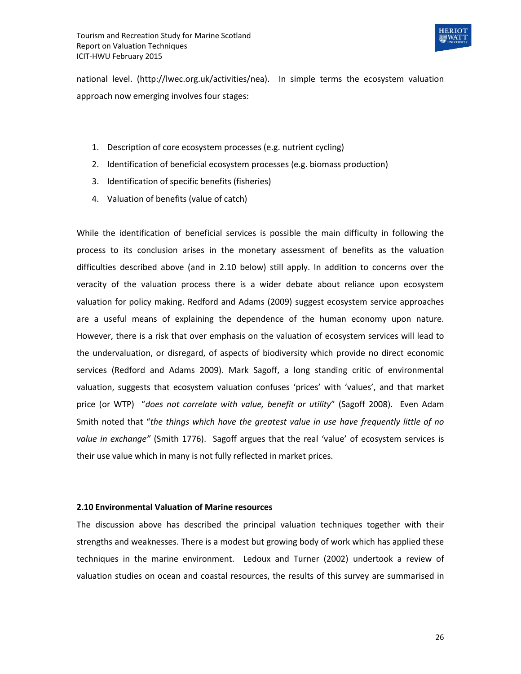

national level. (http://lwec.org.uk/activities/nea). In simple terms the ecosystem valuation approach now emerging involves four stages:

- 1. Description of core ecosystem processes (e.g. nutrient cycling)
- 2. Identification of beneficial ecosystem processes (e.g. biomass production)
- 3. Identification of specific benefits (fisheries)
- 4. Valuation of benefits (value of catch)

While the identification of beneficial services is possible the main difficulty in following the process to its conclusion arises in the monetary assessment of benefits as the valuation difficulties described above (and in 2.10 below) still apply. In addition to concerns over the veracity of the valuation process there is a wider debate about reliance upon ecosystem valuation for policy making. Redford and Adams (2009) suggest ecosystem service approaches are a useful means of explaining the dependence of the human economy upon nature. However, there is a risk that over emphasis on the valuation of ecosystem services will lead to the undervaluation, or disregard, of aspects of biodiversity which provide no direct economic services (Redford and Adams 2009). Mark Sagoff, a long standing critic of environmental valuation, suggests that ecosystem valuation confuses 'prices' with 'values', and that market price (or WTP) "*does not correlate with value, benefit or utility*" (Sagoff 2008). Even Adam Smith noted that "*the things which have the greatest value in use have frequently little of no value in exchange"* (Smith 1776). Sagoff argues that the real 'value' of ecosystem services is their use value which in many is not fully reflected in market prices.

#### **2.10 Environmental Valuation of Marine resources**

The discussion above has described the principal valuation techniques together with their strengths and weaknesses. There is a modest but growing body of work which has applied these techniques in the marine environment. Ledoux and Turner (2002) undertook a review of valuation studies on ocean and coastal resources, the results of this survey are summarised in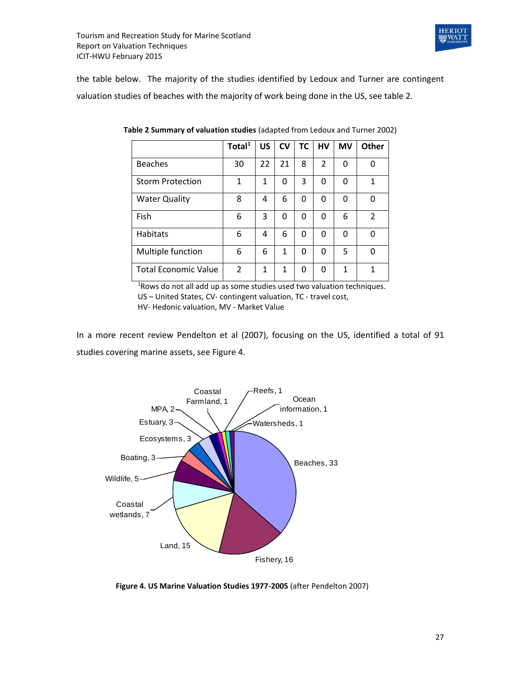

the table below. The majority of the studies identified by Ledoux and Turner are contingent valuation studies of beaches with the majority of work being done in the US, see table 2.

|                             | Total $1$ | <b>US</b> | <b>CV</b> | <b>TC</b> | <b>HV</b>      | <b>MV</b> | <b>Other</b> |
|-----------------------------|-----------|-----------|-----------|-----------|----------------|-----------|--------------|
| <b>Beaches</b>              | 30        | 22        | 21        | 8         | $\overline{2}$ | 0         | 0            |
| <b>Storm Protection</b>     | 1         | 1         | 0         | 3         | 0              | 0         | 1            |
| <b>Water Quality</b>        | 8         | 4         | 6         | 0         | 0              | 0         | 0            |
| Fish                        | 6         | 3         | 0         | $\Omega$  | 0              | 6         | 2            |
| <b>Habitats</b>             | 6         | 4         | 6         | $\Omega$  | $\Omega$       | 0         | 0            |
| Multiple function           | 6         | 6         | 1         | $\Omega$  | $\Omega$       | 5         | 0            |
| <b>Total Economic Value</b> | 2         | 1         | 1         | 0         | $\Omega$       | 1         | 1            |

**Table 2 Summary of valuation studies** (adapted from Ledoux and Turner 2002)

<sup>1</sup>Rows do not all add up as some studies used two valuation techniques. US – United States, CV- contingent valuation, TC - travel cost,

HV- Hedonic valuation, MV - Market Value

In a more recent review Pendelton et al (2007), focusing on the US, identified a total of 91 studies covering marine assets, see Figure 4.



**Figure 4. US Marine Valuation Studies 1977-2005** (after Pendelton 2007)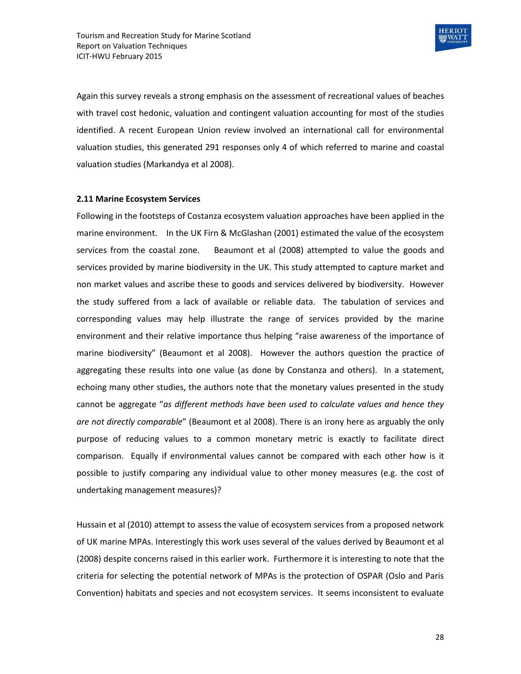

Again this survey reveals a strong emphasis on the assessment of recreational values of beaches with travel cost hedonic, valuation and contingent valuation accounting for most of the studies identified. A recent European Union review involved an international call for environmental valuation studies, this generated 291 responses only 4 of which referred to marine and coastal valuation studies (Markandya et al 2008).

#### **2.11 Marine Ecosystem Services**

Following in the footsteps of Costanza ecosystem valuation approaches have been applied in the marine environment. In the UK Firn & McGlashan (2001) estimated the value of the ecosystem services from the coastal zone. Beaumont et al (2008) attempted to value the goods and services provided by marine biodiversity in the UK. This study attempted to capture market and non market values and ascribe these to goods and services delivered by biodiversity. However the study suffered from a lack of available or reliable data. The tabulation of services and corresponding values may help illustrate the range of services provided by the marine environment and their relative importance thus helping "raise awareness of the importance of marine biodiversity" (Beaumont et al 2008). However the authors question the practice of aggregating these results into one value (as done by Constanza and others). In a statement, echoing many other studies, the authors note that the monetary values presented in the study cannot be aggregate "*as different methods have been used to calculate values and hence they are not directly comparable*" (Beaumont et al 2008). There is an irony here as arguably the only purpose of reducing values to a common monetary metric is exactly to facilitate direct comparison. Equally if environmental values cannot be compared with each other how is it possible to justify comparing any individual value to other money measures (e.g. the cost of undertaking management measures)?

Hussain et al (2010) attempt to assess the value of ecosystem services from a proposed network of UK marine MPAs. Interestingly this work uses several of the values derived by Beaumont et al (2008) despite concerns raised in this earlier work. Furthermore it is interesting to note that the criteria for selecting the potential network of MPAs is the protection of OSPAR (Oslo and Paris Convention) habitats and species and not ecosystem services. It seems inconsistent to evaluate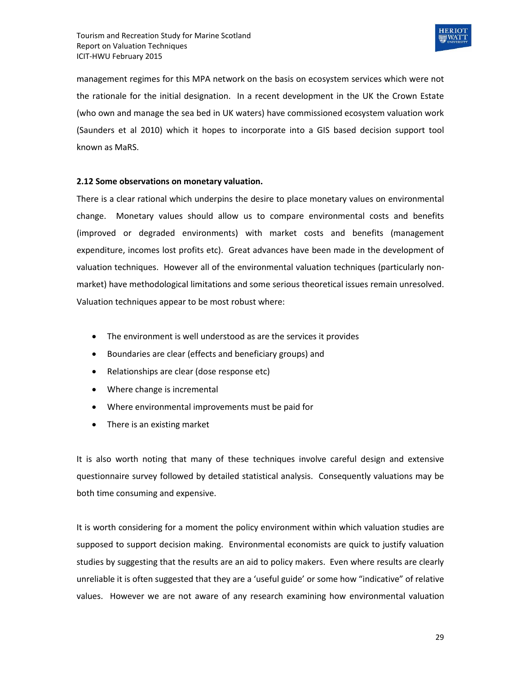

management regimes for this MPA network on the basis on ecosystem services which were not the rationale for the initial designation. In a recent development in the UK the Crown Estate (who own and manage the sea bed in UK waters) have commissioned ecosystem valuation work (Saunders et al 2010) which it hopes to incorporate into a GIS based decision support tool known as MaRS.

#### **2.12 Some observations on monetary valuation.**

There is a clear rational which underpins the desire to place monetary values on environmental change. Monetary values should allow us to compare environmental costs and benefits (improved or degraded environments) with market costs and benefits (management expenditure, incomes lost profits etc). Great advances have been made in the development of valuation techniques. However all of the environmental valuation techniques (particularly nonmarket) have methodological limitations and some serious theoretical issues remain unresolved. Valuation techniques appear to be most robust where:

- The environment is well understood as are the services it provides
- Boundaries are clear (effects and beneficiary groups) and
- Relationships are clear (dose response etc)
- Where change is incremental
- Where environmental improvements must be paid for
- There is an existing market

It is also worth noting that many of these techniques involve careful design and extensive questionnaire survey followed by detailed statistical analysis. Consequently valuations may be both time consuming and expensive.

It is worth considering for a moment the policy environment within which valuation studies are supposed to support decision making. Environmental economists are quick to justify valuation studies by suggesting that the results are an aid to policy makers. Even where results are clearly unreliable it is often suggested that they are a 'useful guide' or some how "indicative" of relative values. However we are not aware of any research examining how environmental valuation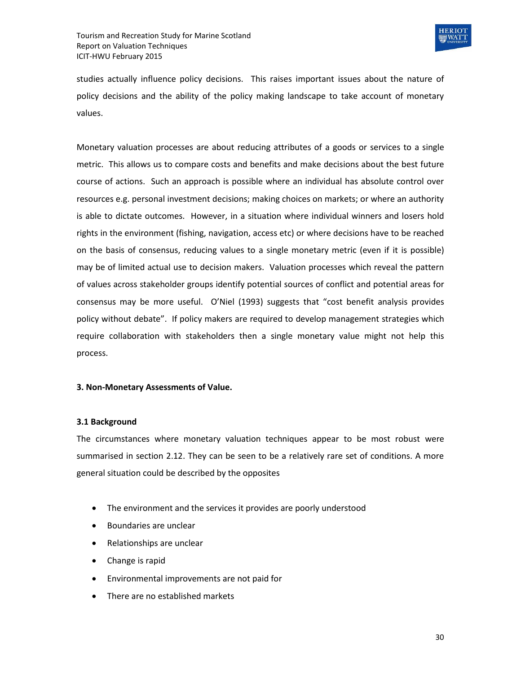

studies actually influence policy decisions. This raises important issues about the nature of policy decisions and the ability of the policy making landscape to take account of monetary values.

Monetary valuation processes are about reducing attributes of a goods or services to a single metric. This allows us to compare costs and benefits and make decisions about the best future course of actions. Such an approach is possible where an individual has absolute control over resources e.g. personal investment decisions; making choices on markets; or where an authority is able to dictate outcomes. However, in a situation where individual winners and losers hold rights in the environment (fishing, navigation, access etc) or where decisions have to be reached on the basis of consensus, reducing values to a single monetary metric (even if it is possible) may be of limited actual use to decision makers. Valuation processes which reveal the pattern of values across stakeholder groups identify potential sources of conflict and potential areas for consensus may be more useful. O'Niel (1993) suggests that "cost benefit analysis provides policy without debate". If policy makers are required to develop management strategies which require collaboration with stakeholders then a single monetary value might not help this process.

#### **3. Non-Monetary Assessments of Value.**

#### **3.1 Background**

The circumstances where monetary valuation techniques appear to be most robust were summarised in section 2.12. They can be seen to be a relatively rare set of conditions. A more general situation could be described by the opposites

- The environment and the services it provides are poorly understood
- Boundaries are unclear
- Relationships are unclear
- Change is rapid
- Environmental improvements are not paid for
- There are no established markets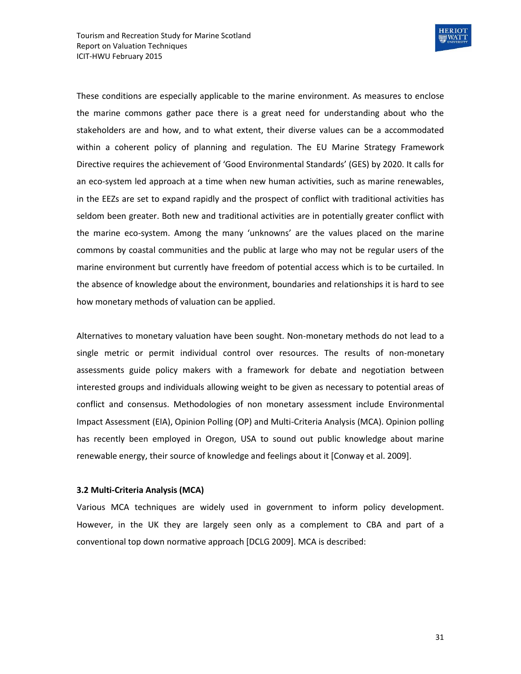

These conditions are especially applicable to the marine environment. As measures to enclose the marine commons gather pace there is a great need for understanding about who the stakeholders are and how, and to what extent, their diverse values can be a accommodated within a coherent policy of planning and regulation. The EU Marine Strategy Framework Directive requires the achievement of 'Good Environmental Standards' (GES) by 2020. It calls for an eco-system led approach at a time when new human activities, such as marine renewables, in the EEZs are set to expand rapidly and the prospect of conflict with traditional activities has seldom been greater. Both new and traditional activities are in potentially greater conflict with the marine eco-system. Among the many 'unknowns' are the values placed on the marine commons by coastal communities and the public at large who may not be regular users of the marine environment but currently have freedom of potential access which is to be curtailed. In the absence of knowledge about the environment, boundaries and relationships it is hard to see how monetary methods of valuation can be applied.

Alternatives to monetary valuation have been sought. Non-monetary methods do not lead to a single metric or permit individual control over resources. The results of non-monetary assessments guide policy makers with a framework for debate and negotiation between interested groups and individuals allowing weight to be given as necessary to potential areas of conflict and consensus. Methodologies of non monetary assessment include Environmental Impact Assessment (EIA), Opinion Polling (OP) and Multi-Criteria Analysis (MCA). Opinion polling has recently been employed in Oregon, USA to sound out public knowledge about marine renewable energy, their source of knowledge and feelings about it [Conway et al. 2009].

#### **3.2 Multi-Criteria Analysis (MCA)**

Various MCA techniques are widely used in government to inform policy development. However, in the UK they are largely seen only as a complement to CBA and part of a conventional top down normative approach [DCLG 2009]. MCA is described: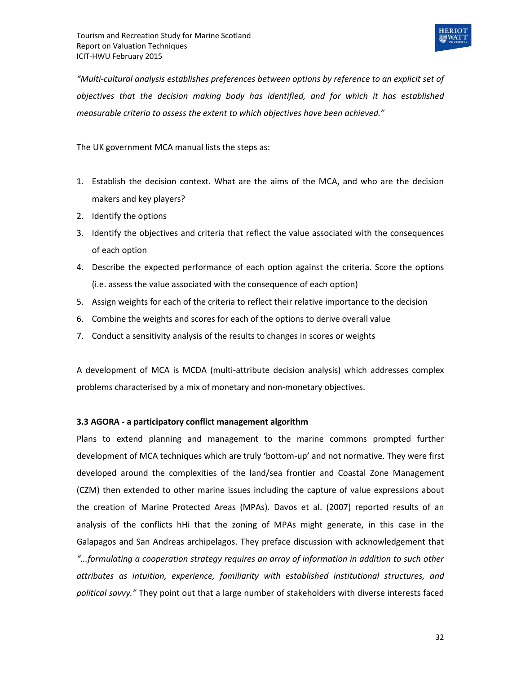

*"Multi-cultural analysis establishes preferences between options by reference to an explicit set of objectives that the decision making body has identified, and for which it has established measurable criteria to assess the extent to which objectives have been achieved."* 

The UK government MCA manual lists the steps as:

- 1. Establish the decision context. What are the aims of the MCA, and who are the decision makers and key players?
- 2. Identify the options
- 3. Identify the objectives and criteria that reflect the value associated with the consequences of each option
- 4. Describe the expected performance of each option against the criteria. Score the options (i.e. assess the value associated with the consequence of each option)
- 5. Assign weights for each of the criteria to reflect their relative importance to the decision
- 6. Combine the weights and scores for each of the options to derive overall value
- 7. Conduct a sensitivity analysis of the results to changes in scores or weights

A development of MCA is MCDA (multi-attribute decision analysis) which addresses complex problems characterised by a mix of monetary and non-monetary objectives.

#### **3.3 AGORA - a participatory conflict management algorithm**

Plans to extend planning and management to the marine commons prompted further development of MCA techniques which are truly 'bottom-up' and not normative. They were first developed around the complexities of the land/sea frontier and Coastal Zone Management (CZM) then extended to other marine issues including the capture of value expressions about the creation of Marine Protected Areas (MPAs). Davos et al. (2007) reported results of an analysis of the conflicts hHi that the zoning of MPAs might generate, in this case in the Galapagos and San Andreas archipelagos. They preface discussion with acknowledgement that *"...formulating a cooperation strategy requires an array of information in addition to such other attributes as intuition, experience, familiarity with established institutional structures, and political savvy."* They point out that a large number of stakeholders with diverse interests faced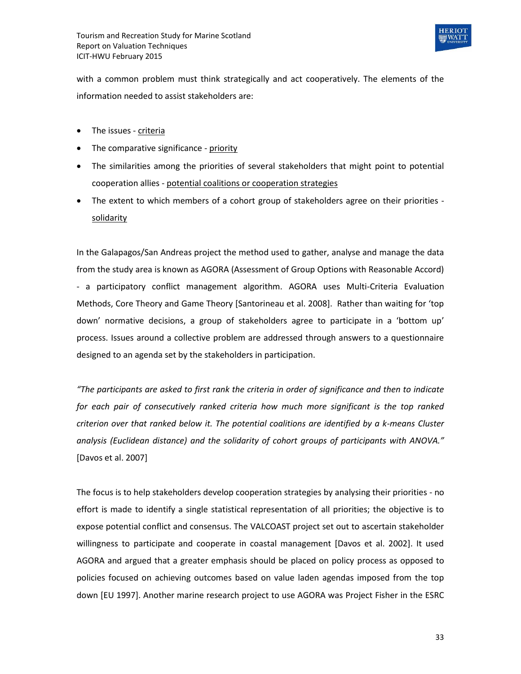

with a common problem must think strategically and act cooperatively. The elements of the information needed to assist stakeholders are:

- The issues criteria
- The comparative significance priority
- The similarities among the priorities of several stakeholders that might point to potential cooperation allies - potential coalitions or cooperation strategies
- The extent to which members of a cohort group of stakeholders agree on their priorities solidarity

In the Galapagos/San Andreas project the method used to gather, analyse and manage the data from the study area is known as AGORA (Assessment of Group Options with Reasonable Accord) - a participatory conflict management algorithm. AGORA uses Multi-Criteria Evaluation Methods, Core Theory and Game Theory [Santorineau et al. 2008]. Rather than waiting for 'top down' normative decisions, a group of stakeholders agree to participate in a 'bottom up' process. Issues around a collective problem are addressed through answers to a questionnaire designed to an agenda set by the stakeholders in participation.

*"The participants are asked to first rank the criteria in order of significance and then to indicate for each pair of consecutively ranked criteria how much more significant is the top ranked criterion over that ranked below it. The potential coalitions are identified by a k-means Cluster analysis (Euclidean distance) and the solidarity of cohort groups of participants with ANOVA."*  [Davos et al. 2007]

The focus is to help stakeholders develop cooperation strategies by analysing their priorities - no effort is made to identify a single statistical representation of all priorities; the objective is to expose potential conflict and consensus. The VALCOAST project set out to ascertain stakeholder willingness to participate and cooperate in coastal management [Davos et al. 2002]. It used AGORA and argued that a greater emphasis should be placed on policy process as opposed to policies focused on achieving outcomes based on value laden agendas imposed from the top down [EU 1997]. Another marine research project to use AGORA was Project Fisher in the ESRC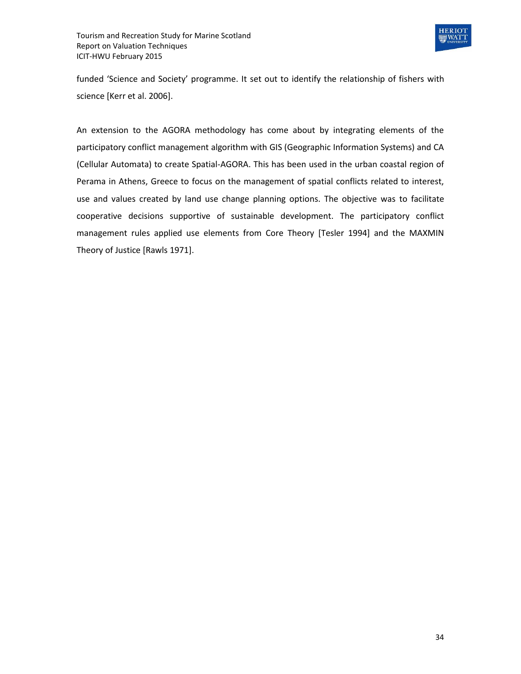

funded 'Science and Society' programme. It set out to identify the relationship of fishers with science [Kerr et al. 2006].

An extension to the AGORA methodology has come about by integrating elements of the participatory conflict management algorithm with GIS (Geographic Information Systems) and CA (Cellular Automata) to create Spatial-AGORA. This has been used in the urban coastal region of Perama in Athens, Greece to focus on the management of spatial conflicts related to interest, use and values created by land use change planning options. The objective was to facilitate cooperative decisions supportive of sustainable development. The participatory conflict management rules applied use elements from Core Theory [Tesler 1994] and the MAXMIN Theory of Justice [Rawls 1971].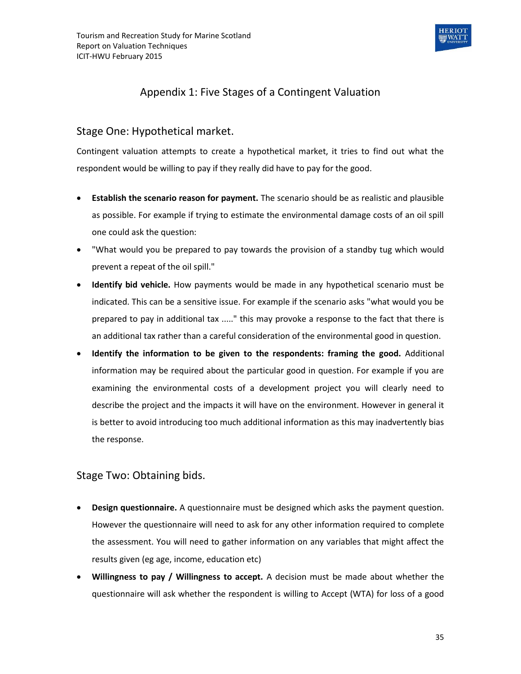

## Appendix 1: Five Stages of a Contingent Valuation

### Stage One: Hypothetical market.

Contingent valuation attempts to create a hypothetical market, it tries to find out what the respondent would be willing to pay if they really did have to pay for the good.

- **Establish the scenario reason for payment.** The scenario should be as realistic and plausible as possible. For example if trying to estimate the environmental damage costs of an oil spill one could ask the question:
- "What would you be prepared to pay towards the provision of a standby tug which would prevent a repeat of the oil spill."
- **Identify bid vehicle.** How payments would be made in any hypothetical scenario must be indicated. This can be a sensitive issue. For example if the scenario asks "what would you be prepared to pay in additional tax ....." this may provoke a response to the fact that there is an additional tax rather than a careful consideration of the environmental good in question.
- **Identify the information to be given to the respondents: framing the good.** Additional information may be required about the particular good in question. For example if you are examining the environmental costs of a development project you will clearly need to describe the project and the impacts it will have on the environment. However in general it is better to avoid introducing too much additional information as this may inadvertently bias the response.

## Stage Two: Obtaining bids.

- **Design questionnaire.** A questionnaire must be designed which asks the payment question. However the questionnaire will need to ask for any other information required to complete the assessment. You will need to gather information on any variables that might affect the results given (eg age, income, education etc)
- **Willingness to pay / Willingness to accept.** A decision must be made about whether the questionnaire will ask whether the respondent is willing to Accept (WTA) for loss of a good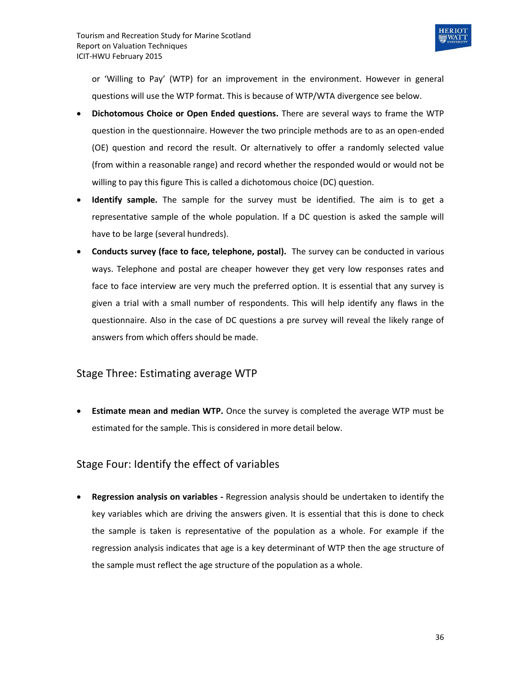

or 'Willing to Pay' (WTP) for an improvement in the environment. However in general questions will use the WTP format. This is because of WTP/WTA divergence see below.

- **Dichotomous Choice or Open Ended questions.** There are several ways to frame the WTP question in the questionnaire. However the two principle methods are to as an open-ended (OE) question and record the result. Or alternatively to offer a randomly selected value (from within a reasonable range) and record whether the responded would or would not be willing to pay this figure This is called a dichotomous choice (DC) question.
- **Identify sample.** The sample for the survey must be identified. The aim is to get a representative sample of the whole population. If a DC question is asked the sample will have to be large (several hundreds).
- **Conducts survey (face to face, telephone, postal).** The survey can be conducted in various ways. Telephone and postal are cheaper however they get very low responses rates and face to face interview are very much the preferred option. It is essential that any survey is given a trial with a small number of respondents. This will help identify any flaws in the questionnaire. Also in the case of DC questions a pre survey will reveal the likely range of answers from which offers should be made.

## Stage Three: Estimating average WTP

 **Estimate mean and median WTP.** Once the survey is completed the average WTP must be estimated for the sample. This is considered in more detail below.

## Stage Four: Identify the effect of variables

 **Regression analysis on variables -** Regression analysis should be undertaken to identify the key variables which are driving the answers given. It is essential that this is done to check the sample is taken is representative of the population as a whole. For example if the regression analysis indicates that age is a key determinant of WTP then the age structure of the sample must reflect the age structure of the population as a whole.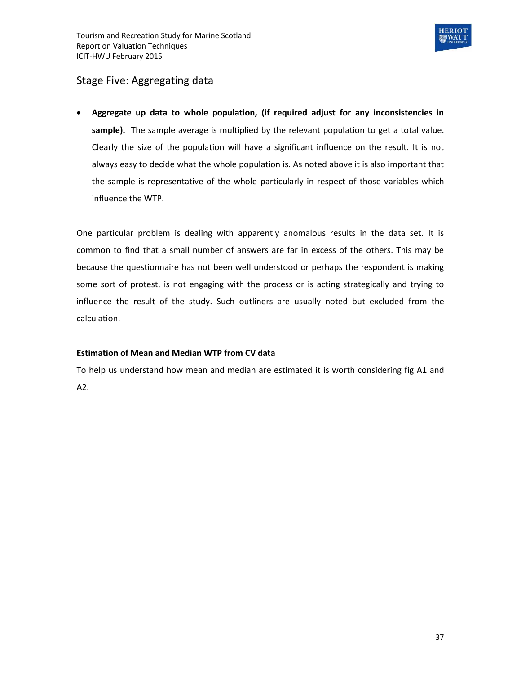

## Stage Five: Aggregating data

 **Aggregate up data to whole population, (if required adjust for any inconsistencies in sample).** The sample average is multiplied by the relevant population to get a total value. Clearly the size of the population will have a significant influence on the result. It is not always easy to decide what the whole population is. As noted above it is also important that the sample is representative of the whole particularly in respect of those variables which influence the WTP.

One particular problem is dealing with apparently anomalous results in the data set. It is common to find that a small number of answers are far in excess of the others. This may be because the questionnaire has not been well understood or perhaps the respondent is making some sort of protest, is not engaging with the process or is acting strategically and trying to influence the result of the study. Such outliners are usually noted but excluded from the calculation.

#### **Estimation of Mean and Median WTP from CV data**

To help us understand how mean and median are estimated it is worth considering fig A1 and A2.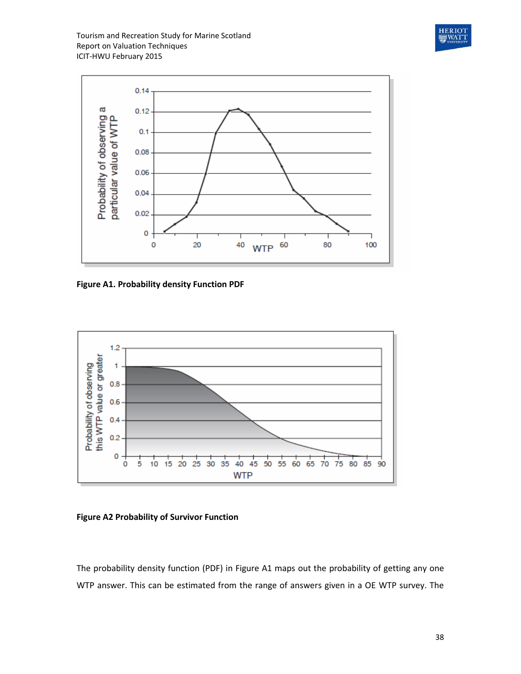Tourism and Recreation Study for Marine Scotland Report on Valuation Techniques ICIT-HWU February 2015





**Figure A1. Probability density Function PDF**



**Figure A2 Probability of Survivor Function**

The probability density function (PDF) in Figure A1 maps out the probability of getting any one WTP answer. This can be estimated from the range of answers given in a OE WTP survey. The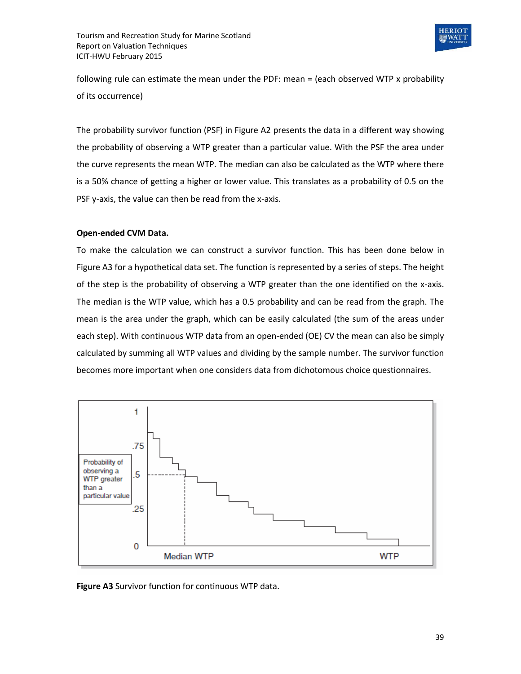

following rule can estimate the mean under the PDF: mean = (each observed WTP x probability of its occurrence)

The probability survivor function (PSF) in Figure A2 presents the data in a different way showing the probability of observing a WTP greater than a particular value. With the PSF the area under the curve represents the mean WTP. The median can also be calculated as the WTP where there is a 50% chance of getting a higher or lower value. This translates as a probability of 0.5 on the PSF y-axis, the value can then be read from the x-axis.

#### **Open-ended CVM Data.**

To make the calculation we can construct a survivor function. This has been done below in Figure A3 for a hypothetical data set. The function is represented by a series of steps. The height of the step is the probability of observing a WTP greater than the one identified on the x-axis. The median is the WTP value, which has a 0.5 probability and can be read from the graph. The mean is the area under the graph, which can be easily calculated (the sum of the areas under each step). With continuous WTP data from an open-ended (OE) CV the mean can also be simply calculated by summing all WTP values and dividing by the sample number. The survivor function becomes more important when one considers data from dichotomous choice questionnaires.



**Figure A3** Survivor function for continuous WTP data.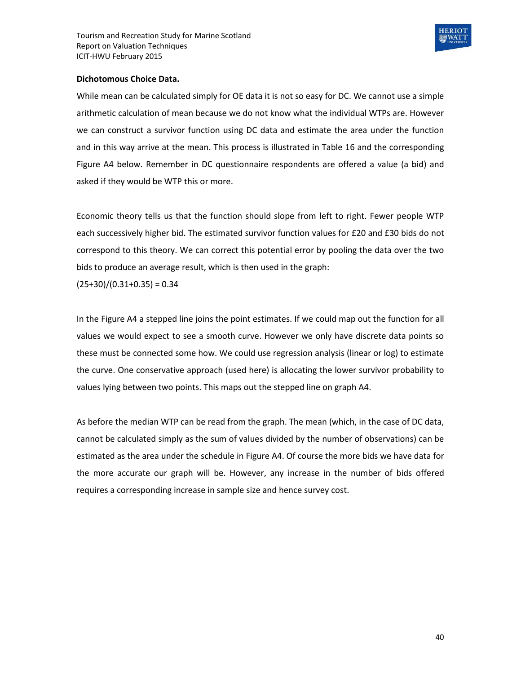

#### **Dichotomous Choice Data.**

While mean can be calculated simply for OE data it is not so easy for DC. We cannot use a simple arithmetic calculation of mean because we do not know what the individual WTPs are. However we can construct a survivor function using DC data and estimate the area under the function and in this way arrive at the mean. This process is illustrated in Table 16 and the corresponding Figure A4 below. Remember in DC questionnaire respondents are offered a value (a bid) and asked if they would be WTP this or more.

Economic theory tells us that the function should slope from left to right. Fewer people WTP each successively higher bid. The estimated survivor function values for £20 and £30 bids do not correspond to this theory. We can correct this potential error by pooling the data over the two bids to produce an average result, which is then used in the graph:

 $(25+30)/(0.31+0.35) = 0.34$ 

In the Figure A4 a stepped line joins the point estimates. If we could map out the function for all values we would expect to see a smooth curve. However we only have discrete data points so these must be connected some how. We could use regression analysis (linear or log) to estimate the curve. One conservative approach (used here) is allocating the lower survivor probability to values lying between two points. This maps out the stepped line on graph A4.

As before the median WTP can be read from the graph. The mean (which, in the case of DC data, cannot be calculated simply as the sum of values divided by the number of observations) can be estimated as the area under the schedule in Figure A4. Of course the more bids we have data for the more accurate our graph will be. However, any increase in the number of bids offered requires a corresponding increase in sample size and hence survey cost.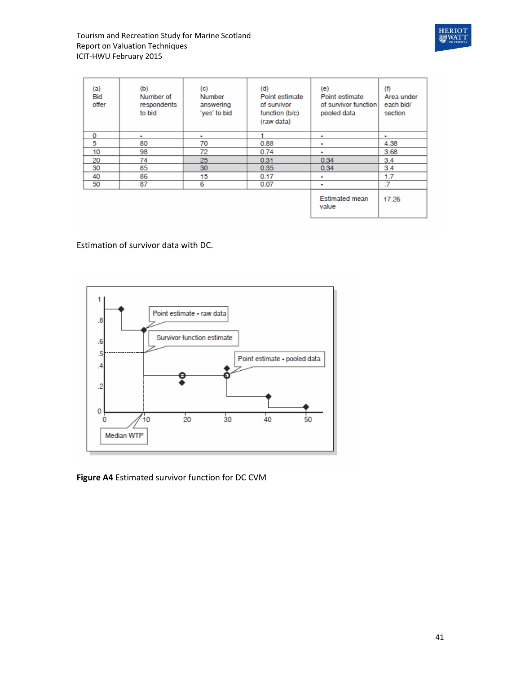



| (a)<br>Bid<br>offer | (b)<br>Number of<br>respondents<br>to bid | (c)<br>Number<br>answering<br>'yes' to bid | (d)<br>Point estimate<br>of survivor<br>function (b/c)<br>(raw data) | (e)<br>Point estimate<br>of survivor function<br>pooled data | (f)<br>Area under<br>each bid/<br>section |
|---------------------|-------------------------------------------|--------------------------------------------|----------------------------------------------------------------------|--------------------------------------------------------------|-------------------------------------------|
| 0                   | ٠                                         | $\blacksquare$                             |                                                                      | ٠                                                            | $\blacksquare$                            |
| 5                   | 80                                        | 70                                         | 0.88                                                                 | ٠                                                            | 4.38                                      |
| 10                  | 98                                        | 72                                         | 0.74                                                                 | ٠                                                            | 3.68                                      |
| 20                  | 74                                        | 25                                         | 0.31                                                                 | 0.34                                                         | 3.4                                       |
| 30                  | 85                                        | 30                                         | 0.35                                                                 | 0.34                                                         | 3.4                                       |
| 40                  | 86                                        | 15                                         | 0.17                                                                 | ٠                                                            | 1.7                                       |
| 50                  | 87                                        | 6                                          | 0.07                                                                 | ٠                                                            | .7                                        |
|                     |                                           |                                            |                                                                      | <b>Estimated mean</b><br>value                               | 17.26                                     |

Estimation of survivor data with DC.



**Figure A4** Estimated survivor function for DC CVM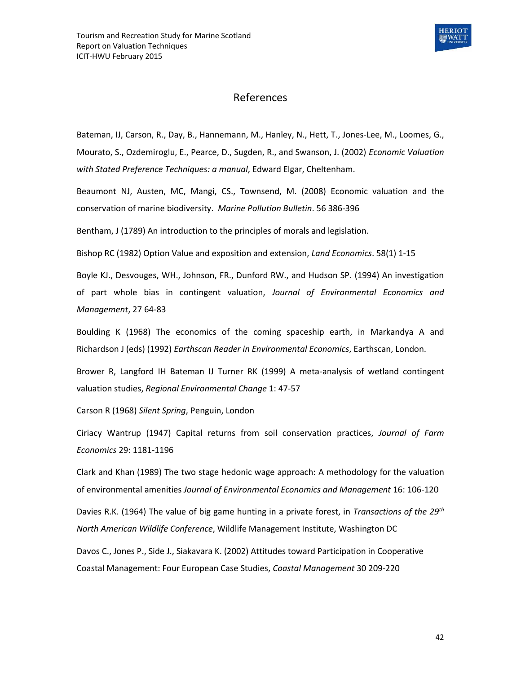

## References

Bateman, IJ, Carson, R., Day, B., Hannemann, M., Hanley, N., Hett, T., Jones-Lee, M., Loomes, G., Mourato, S., Ozdemiroglu, E., Pearce, D., Sugden, R., and Swanson, J. (2002) *Economic Valuation with Stated Preference Techniques: a manual*, Edward Elgar, Cheltenham.

Beaumont NJ, Austen, MC, Mangi, CS., Townsend, M. (2008) Economic valuation and the conservation of marine biodiversity. *Marine Pollution Bulletin*. 56 386-396

Bentham, J (1789) An introduction to the principles of morals and legislation.

Bishop RC (1982) Option Value and exposition and extension, *Land Economics*. 58(1) 1-15

Boyle KJ., Desvouges, WH., Johnson, FR., Dunford RW., and Hudson SP. (1994) An investigation of part whole bias in contingent valuation, *Journal of Environmental Economics and Management*, 27 64-83

Boulding K (1968) The economics of the coming spaceship earth, in Markandya A and Richardson J (eds) (1992) *Earthscan Reader in Environmental Economics*, Earthscan, London.

Brower R, Langford IH Bateman IJ Turner RK (1999) A meta-analysis of wetland contingent valuation studies, *Regional Environmental Change* 1: 47-57

Carson R (1968) *Silent Spring*, Penguin, London

Ciriacy Wantrup (1947) Capital returns from soil conservation practices, *Journal of Farm Economics* 29: 1181-1196

Clark and Khan (1989) The two stage hedonic wage approach: A methodology for the valuation of environmental amenities *Journal of Environmental Economics and Management* 16: 106-120

Davies R.K. (1964) The value of big game hunting in a private forest, in *Transactions of the 29th North American Wildlife Conference*, Wildlife Management Institute, Washington DC

Davos C., Jones P., Side J., Siakavara K. (2002) Attitudes toward Participation in Cooperative Coastal Management: Four European Case Studies, *Coastal Management* 30 209-220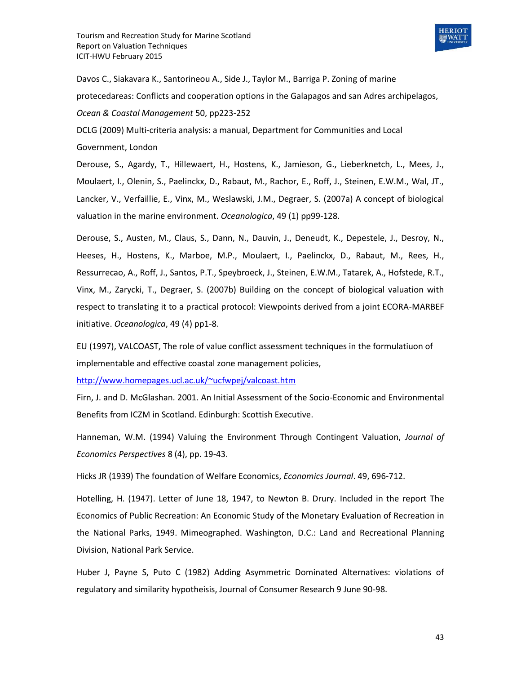

Davos C., Siakavara K., Santorineou A., Side J., Taylor M., Barriga P. Zoning of marine protecedareas: Conflicts and cooperation options in the Galapagos and san Adres archipelagos, *Ocean & Coastal Management* 50, pp223-252

DCLG (2009) Multi-criteria analysis: a manual, Department for Communities and Local Government, London

Derouse, S., Agardy, T., Hillewaert, H., Hostens, K., Jamieson, G., Lieberknetch, L., Mees, J., Moulaert, I., Olenin, S., Paelinckx, D., Rabaut, M., Rachor, E., Roff, J., Steinen, E.W.M., Wal, JT., Lancker, V., Verfaillie, E., Vinx, M., Weslawski, J.M., Degraer, S. (2007a) A concept of biological valuation in the marine environment. *Oceanologica*, 49 (1) pp99-128.

Derouse, S., Austen, M., Claus, S., Dann, N., Dauvin, J., Deneudt, K., Depestele, J., Desroy, N., Heeses, H., Hostens, K., Marboe, M.P., Moulaert, I., Paelinckx, D., Rabaut, M., Rees, H., Ressurrecao, A., Roff, J., Santos, P.T., Speybroeck, J., Steinen, E.W.M., Tatarek, A., Hofstede, R.T., Vinx, M., Zarycki, T., Degraer, S. (2007b) Building on the concept of biological valuation with respect to translating it to a practical protocol: Viewpoints derived from a joint ECORA-MARBEF initiative. *Oceanologica*, 49 (4) pp1-8.

EU (1997), VALCOAST, The role of value conflict assessment techniques in the formulatiuon of implementable and effective coastal zone management policies,

<http://www.homepages.ucl.ac.uk/~ucfwpej/valcoast.htm>

Firn, J. and D. McGlashan. 2001. An Initial Assessment of the Socio-Economic and Environmental Benefits from ICZM in Scotland. Edinburgh: Scottish Executive.

Hanneman, W.M. (1994) Valuing the Environment Through Contingent Valuation, *Journal of Economics Perspectives* 8 (4), pp. 19-43.

Hicks JR (1939) The foundation of Welfare Economics, *Economics Journal*. 49, 696-712.

Hotelling, H. (1947). Letter of June 18, 1947, to Newton B. Drury. Included in the report The Economics of Public Recreation: An Economic Study of the Monetary Evaluation of Recreation in the National Parks, 1949. Mimeographed. Washington, D.C.: Land and Recreational Planning Division, National Park Service.

Huber J, Payne S, Puto C (1982) Adding Asymmetric Dominated Alternatives: violations of regulatory and similarity hypotheisis, Journal of Consumer Research 9 June 90-98.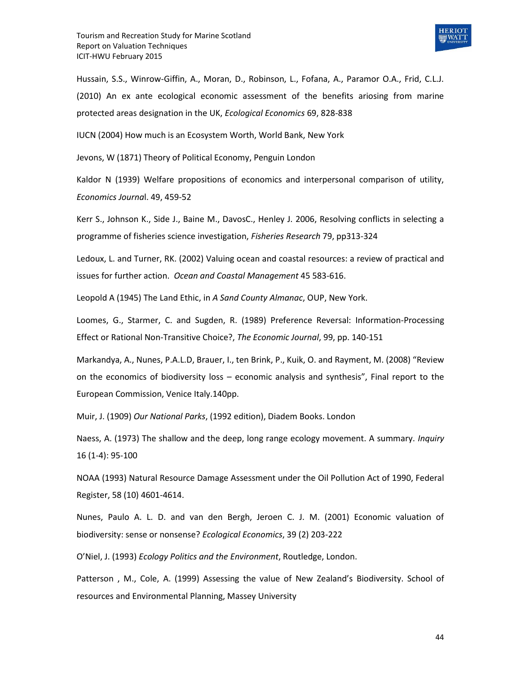

Hussain, S.S., Winrow-Giffin, A., Moran, D., Robinson, L., Fofana, A., Paramor O.A., Frid, C.L.J. (2010) An ex ante ecological economic assessment of the benefits ariosing from marine protected areas designation in the UK, *Ecological Economics* 69, 828-838

IUCN (2004) How much is an Ecosystem Worth, World Bank, New York

Jevons, W (1871) Theory of Political Economy, Penguin London

Kaldor N (1939) Welfare propositions of economics and interpersonal comparison of utility, *Economics Journa*l. 49, 459-52

Kerr S., Johnson K., Side J., Baine M., DavosC., Henley J. 2006, Resolving conflicts in selecting a programme of fisheries science investigation, *Fisheries Research* 79, pp313-324

Ledoux, L. and Turner, RK. (2002) Valuing ocean and coastal resources: a review of practical and issues for further action. *Ocean and Coastal Management* 45 583-616.

Leopold A (1945) The Land Ethic, in *A Sand County Almanac*, OUP, New York.

Loomes, G., Starmer, C. and Sugden, R. (1989) Preference Reversal: Information-Processing Effect or Rational Non-Transitive Choice?, *The Economic Journal*, 99, pp. 140-151

Markandya, A., Nunes, P.A.L.D, Brauer, I., ten Brink, P., Kuik, O. and Rayment, M. (2008) "Review on the economics of biodiversity loss – economic analysis and synthesis", Final report to the European Commission, Venice Italy.140pp.

Muir, J. (1909) *Our National Parks*, (1992 edition), Diadem Books. London

Naess, A. (1973) The shallow and the deep, long range ecology movement. A summary. *Inquiry*  16 (1-4): 95-100

NOAA (1993) Natural Resource Damage Assessment under the Oil Pollution Act of 1990, Federal Register, 58 (10) 4601-4614.

Nunes, Paulo A. L. D. and van den Bergh, Jeroen C. J. M. (2001) Economic valuation of biodiversity: sense or nonsense? *Ecological Economics*, 39 (2) 203-222

O'Niel, J. (1993) *Ecology Politics and the Environment*, Routledge, London.

Patterson , M., Cole, A. (1999) Assessing the value of New Zealand's Biodiversity. School of resources and Environmental Planning, Massey University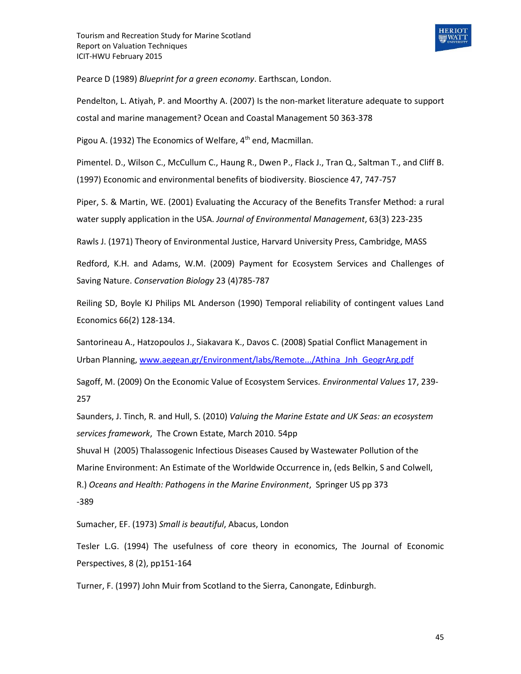

Pearce D (1989) *Blueprint for a green economy*. Earthscan, London.

Pendelton, L. Atiyah, P. and Moorthy A. (2007) Is the non-market literature adequate to support costal and marine management? Ocean and Coastal Management 50 363-378

Pigou A. (1932) The Economics of Welfare, 4<sup>th</sup> end, Macmillan.

Pimentel. D., Wilson C., McCullum C., Haung R., Dwen P., Flack J., Tran Q., Saltman T., and Cliff B. (1997) Economic and environmental benefits of biodiversity. Bioscience 47, 747-757

Piper, S. & Martin, WE. (2001) Evaluating the Accuracy of the Benefits Transfer Method: a rural water supply application in the USA. *Journal of Environmental Management*, 63(3) 223-235

Rawls J. (1971) Theory of Environmental Justice, Harvard University Press, Cambridge, MASS

Redford, K.H. and Adams, W.M. (2009) Payment for Ecosystem Services and Challenges of Saving Nature. *Conservation Biology* 23 (4)785-787

Reiling SD, Boyle KJ Philips ML Anderson (1990) Temporal reliability of contingent values Land Economics 66(2) 128-134.

Santorineau A., Hatzopoulos J., Siakavara K., Davos C. (2008) Spatial Conflict Management in Urban Planning, [www.aegean.gr/Environment/labs/Remote.../Athina\\_Jnh\\_GeogrArg.pdf](http://www.aegean.gr/Environment/labs/Remote.../Athina_Jnh_GeogrArg.pdf)

Sagoff, M. (2009) On the Economic Value of Ecosystem Services. *Environmental Values* 17, 239- 257

Saunders, J. Tinch, R. and Hull, S. (2010) *Valuing the Marine Estate and UK Seas: an ecosystem services framework*, The Crown Estate, March 2010. 54pp

Shuval H (2005) Thalassogenic Infectious Diseases Caused by Wastewater Pollution of the Marine Environment: An Estimate of the Worldwide Occurrence in, (eds Belkin, S and Colwell, R.) *Oceans and Health: Pathogens in the Marine Environment*, Springer US pp 373 -389

Sumacher, EF. (1973) *Small is beautiful*, Abacus, London

Tesler L.G. (1994) The usefulness of core theory in economics, The Journal of Economic Perspectives, 8 (2), pp151-164

Turner, F. (1997) John Muir from Scotland to the Sierra, Canongate, Edinburgh.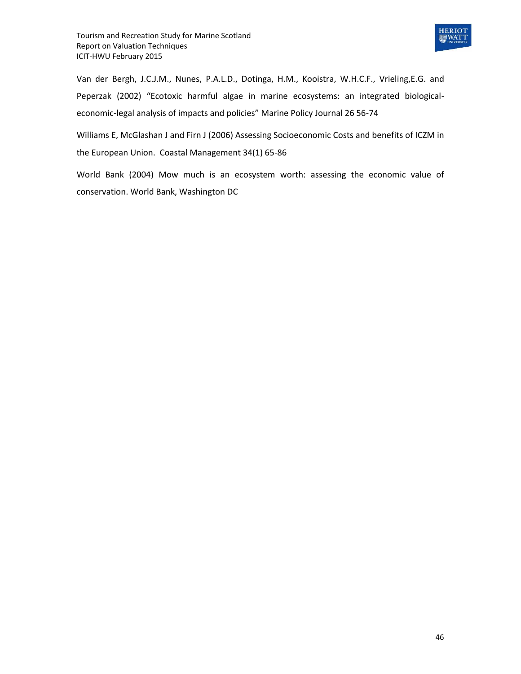

Van der Bergh, J.C.J.M., Nunes, P.A.L.D., Dotinga, H.M., Kooistra, W.H.C.F., Vrieling,E.G. and Peperzak (2002) "Ecotoxic harmful algae in marine ecosystems: an integrated biologicaleconomic-legal analysis of impacts and policies" Marine Policy Journal 26 56-74

Williams E, McGlashan J and Firn J (2006) Assessing Socioeconomic Costs and benefits of ICZM in the European Union. Coastal Management 34(1) 65-86

World Bank (2004) Mow much is an ecosystem worth: assessing the economic value of conservation. World Bank, Washington DC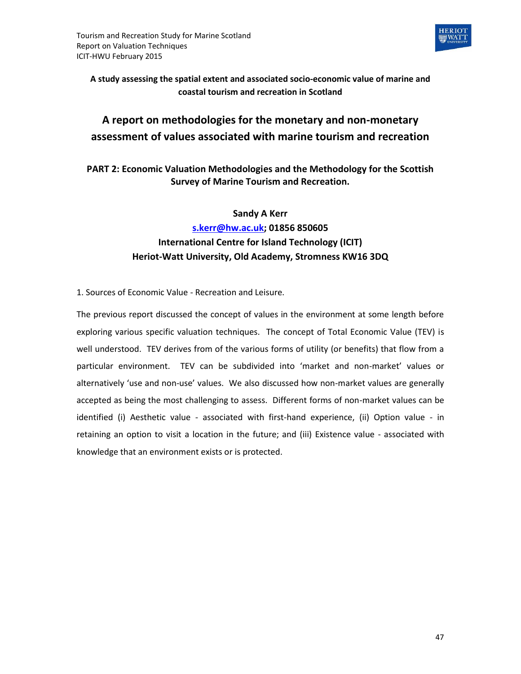

**A study assessing the spatial extent and associated socio-economic value of marine and coastal tourism and recreation in Scotland**

## **A report on methodologies for the monetary and non-monetary assessment of values associated with marine tourism and recreation**

## **PART 2: Economic Valuation Methodologies and the Methodology for the Scottish Survey of Marine Tourism and Recreation.**

## **Sandy A Kerr [s.kerr@hw.ac.uk;](mailto:s.kerr@hw.ac.uk) 01856 850605 International Centre for Island Technology (ICIT) Heriot-Watt University, Old Academy, Stromness KW16 3DQ**

1. Sources of Economic Value - Recreation and Leisure.

The previous report discussed the concept of values in the environment at some length before exploring various specific valuation techniques. The concept of Total Economic Value (TEV) is well understood. TEV derives from of the various forms of utility (or benefits) that flow from a particular environment. TEV can be subdivided into 'market and non-market' values or alternatively 'use and non-use' values. We also discussed how non-market values are generally accepted as being the most challenging to assess. Different forms of non-market values can be identified (i) Aesthetic value - associated with first-hand experience, (ii) Option value - in retaining an option to visit a location in the future; and (iii) Existence value - associated with knowledge that an environment exists or is protected.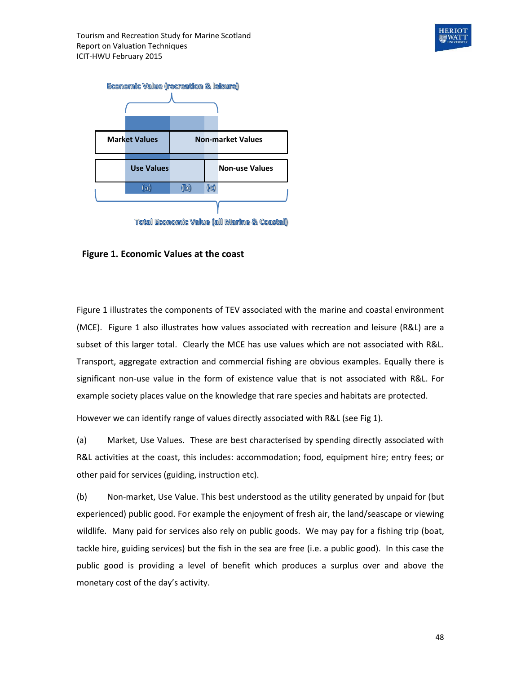



Total Economic Value (all Marine & Coastal)

#### **Figure 1. Economic Values at the coast**

Figure 1 illustrates the components of TEV associated with the marine and coastal environment (MCE). Figure 1 also illustrates how values associated with recreation and leisure (R&L) are a subset of this larger total. Clearly the MCE has use values which are not associated with R&L. Transport, aggregate extraction and commercial fishing are obvious examples. Equally there is significant non-use value in the form of existence value that is not associated with R&L. For example society places value on the knowledge that rare species and habitats are protected.

However we can identify range of values directly associated with R&L (see Fig 1).

(a) Market, Use Values. These are best characterised by spending directly associated with R&L activities at the coast, this includes: accommodation; food, equipment hire; entry fees; or other paid for services (guiding, instruction etc).

(b) Non-market, Use Value. This best understood as the utility generated by unpaid for (but experienced) public good. For example the enjoyment of fresh air, the land/seascape or viewing wildlife. Many paid for services also rely on public goods. We may pay for a fishing trip (boat, tackle hire, guiding services) but the fish in the sea are free (i.e. a public good). In this case the public good is providing a level of benefit which produces a surplus over and above the monetary cost of the day's activity.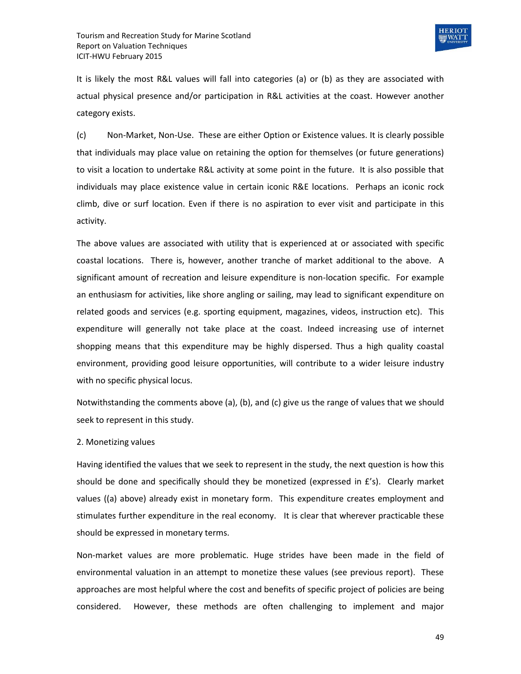

It is likely the most R&L values will fall into categories (a) or (b) as they are associated with actual physical presence and/or participation in R&L activities at the coast. However another category exists.

(c) Non-Market, Non-Use. These are either Option or Existence values. It is clearly possible that individuals may place value on retaining the option for themselves (or future generations) to visit a location to undertake R&L activity at some point in the future. It is also possible that individuals may place existence value in certain iconic R&E locations. Perhaps an iconic rock climb, dive or surf location. Even if there is no aspiration to ever visit and participate in this activity.

The above values are associated with utility that is experienced at or associated with specific coastal locations. There is, however, another tranche of market additional to the above. A significant amount of recreation and leisure expenditure is non-location specific. For example an enthusiasm for activities, like shore angling or sailing, may lead to significant expenditure on related goods and services (e.g. sporting equipment, magazines, videos, instruction etc). This expenditure will generally not take place at the coast. Indeed increasing use of internet shopping means that this expenditure may be highly dispersed. Thus a high quality coastal environment, providing good leisure opportunities, will contribute to a wider leisure industry with no specific physical locus.

Notwithstanding the comments above (a), (b), and (c) give us the range of values that we should seek to represent in this study.

#### 2. Monetizing values

Having identified the values that we seek to represent in the study, the next question is how this should be done and specifically should they be monetized (expressed in £'s). Clearly market values ((a) above) already exist in monetary form. This expenditure creates employment and stimulates further expenditure in the real economy. It is clear that wherever practicable these should be expressed in monetary terms.

Non-market values are more problematic. Huge strides have been made in the field of environmental valuation in an attempt to monetize these values (see previous report). These approaches are most helpful where the cost and benefits of specific project of policies are being considered. However, these methods are often challenging to implement and major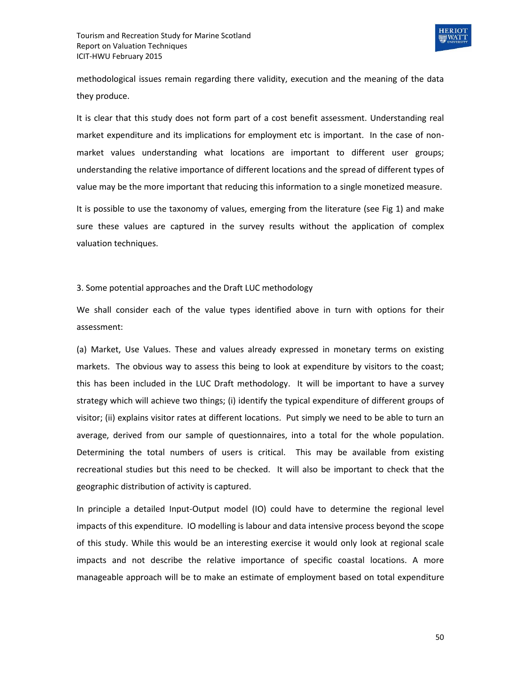

methodological issues remain regarding there validity, execution and the meaning of the data they produce.

It is clear that this study does not form part of a cost benefit assessment. Understanding real market expenditure and its implications for employment etc is important. In the case of nonmarket values understanding what locations are important to different user groups; understanding the relative importance of different locations and the spread of different types of value may be the more important that reducing this information to a single monetized measure.

It is possible to use the taxonomy of values, emerging from the literature (see Fig 1) and make sure these values are captured in the survey results without the application of complex valuation techniques.

3. Some potential approaches and the Draft LUC methodology

We shall consider each of the value types identified above in turn with options for their assessment:

(a) Market, Use Values. These and values already expressed in monetary terms on existing markets. The obvious way to assess this being to look at expenditure by visitors to the coast; this has been included in the LUC Draft methodology. It will be important to have a survey strategy which will achieve two things; (i) identify the typical expenditure of different groups of visitor; (ii) explains visitor rates at different locations. Put simply we need to be able to turn an average, derived from our sample of questionnaires, into a total for the whole population. Determining the total numbers of users is critical. This may be available from existing recreational studies but this need to be checked. It will also be important to check that the geographic distribution of activity is captured.

In principle a detailed Input-Output model (IO) could have to determine the regional level impacts of this expenditure. IO modelling is labour and data intensive process beyond the scope of this study. While this would be an interesting exercise it would only look at regional scale impacts and not describe the relative importance of specific coastal locations. A more manageable approach will be to make an estimate of employment based on total expenditure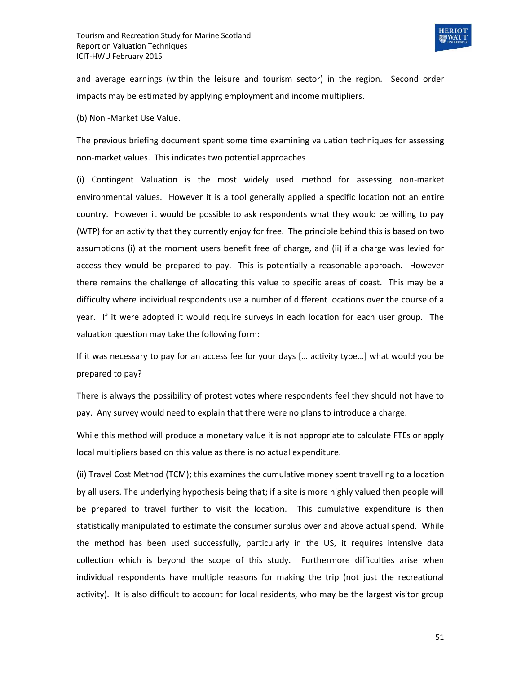

and average earnings (within the leisure and tourism sector) in the region. Second order impacts may be estimated by applying employment and income multipliers.

(b) Non -Market Use Value.

The previous briefing document spent some time examining valuation techniques for assessing non-market values. This indicates two potential approaches

(i) Contingent Valuation is the most widely used method for assessing non-market environmental values. However it is a tool generally applied a specific location not an entire country. However it would be possible to ask respondents what they would be willing to pay (WTP) for an activity that they currently enjoy for free. The principle behind this is based on two assumptions (i) at the moment users benefit free of charge, and (ii) if a charge was levied for access they would be prepared to pay. This is potentially a reasonable approach. However there remains the challenge of allocating this value to specific areas of coast. This may be a difficulty where individual respondents use a number of different locations over the course of a year. If it were adopted it would require surveys in each location for each user group. The valuation question may take the following form:

If it was necessary to pay for an access fee for your days [… activity type…] what would you be prepared to pay?

There is always the possibility of protest votes where respondents feel they should not have to pay. Any survey would need to explain that there were no plans to introduce a charge.

While this method will produce a monetary value it is not appropriate to calculate FTEs or apply local multipliers based on this value as there is no actual expenditure.

(ii) Travel Cost Method (TCM); this examines the cumulative money spent travelling to a location by all users. The underlying hypothesis being that; if a site is more highly valued then people will be prepared to travel further to visit the location. This cumulative expenditure is then statistically manipulated to estimate the consumer surplus over and above actual spend. While the method has been used successfully, particularly in the US, it requires intensive data collection which is beyond the scope of this study. Furthermore difficulties arise when individual respondents have multiple reasons for making the trip (not just the recreational activity). It is also difficult to account for local residents, who may be the largest visitor group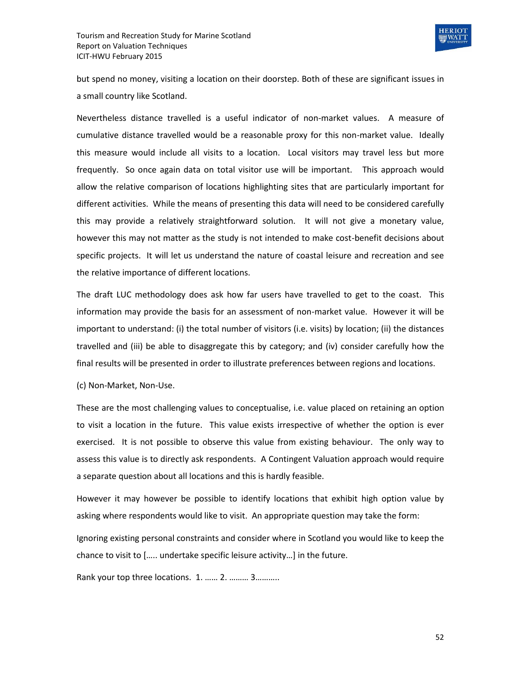

but spend no money, visiting a location on their doorstep. Both of these are significant issues in a small country like Scotland.

Nevertheless distance travelled is a useful indicator of non-market values. A measure of cumulative distance travelled would be a reasonable proxy for this non-market value. Ideally this measure would include all visits to a location. Local visitors may travel less but more frequently. So once again data on total visitor use will be important. This approach would allow the relative comparison of locations highlighting sites that are particularly important for different activities. While the means of presenting this data will need to be considered carefully this may provide a relatively straightforward solution. It will not give a monetary value, however this may not matter as the study is not intended to make cost-benefit decisions about specific projects. It will let us understand the nature of coastal leisure and recreation and see the relative importance of different locations.

The draft LUC methodology does ask how far users have travelled to get to the coast. This information may provide the basis for an assessment of non-market value. However it will be important to understand: (i) the total number of visitors (i.e. visits) by location; (ii) the distances travelled and (iii) be able to disaggregate this by category; and (iv) consider carefully how the final results will be presented in order to illustrate preferences between regions and locations.

(c) Non-Market, Non-Use.

These are the most challenging values to conceptualise, i.e. value placed on retaining an option to visit a location in the future. This value exists irrespective of whether the option is ever exercised. It is not possible to observe this value from existing behaviour. The only way to assess this value is to directly ask respondents. A Contingent Valuation approach would require a separate question about all locations and this is hardly feasible.

However it may however be possible to identify locations that exhibit high option value by asking where respondents would like to visit. An appropriate question may take the form:

Ignoring existing personal constraints and consider where in Scotland you would like to keep the chance to visit to [….. undertake specific leisure activity…] in the future.

Rank your top three locations. 1. …… 2. ……… 3………..